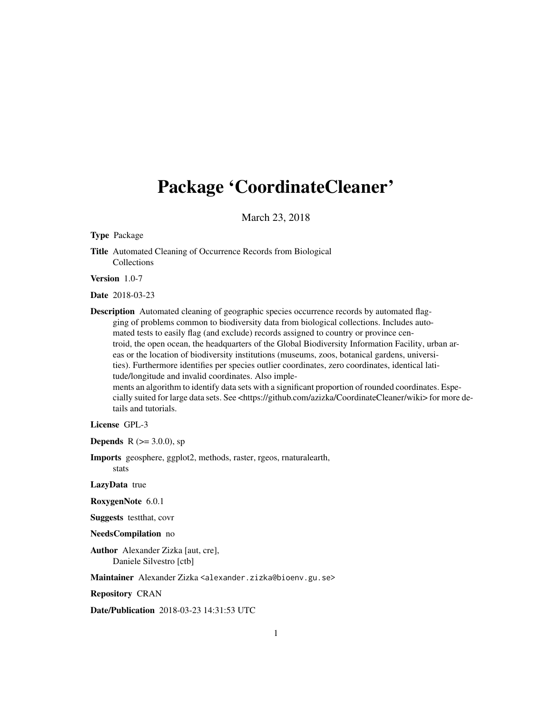## Package 'CoordinateCleaner'

March 23, 2018

Type Package

Title Automated Cleaning of Occurrence Records from Biological Collections

Version 1.0-7

Date 2018-03-23

Description Automated cleaning of geographic species occurrence records by automated flagging of problems common to biodiversity data from biological collections. Includes automated tests to easily flag (and exclude) records assigned to country or province centroid, the open ocean, the headquarters of the Global Biodiversity Information Facility, urban areas or the location of biodiversity institutions (museums, zoos, botanical gardens, universities). Furthermore identifies per species outlier coordinates, zero coordinates, identical latitude/longitude and invalid coordinates. Also imple-

ments an algorithm to identify data sets with a significant proportion of rounded coordinates. Especially suited for large data sets. See <https://github.com/azizka/CoordinateCleaner/wiki> for more details and tutorials.

License GPL-3

**Depends** R ( $> = 3.0.0$ ), sp

Imports geosphere, ggplot2, methods, raster, rgeos, rnaturalearth, stats

LazyData true

RoxygenNote 6.0.1

Suggests testthat, covr

NeedsCompilation no

Author Alexander Zizka [aut, cre], Daniele Silvestro [ctb]

Maintainer Alexander Zizka <alexander.zizka@bioenv.gu.se>

Repository CRAN

Date/Publication 2018-03-23 14:31:53 UTC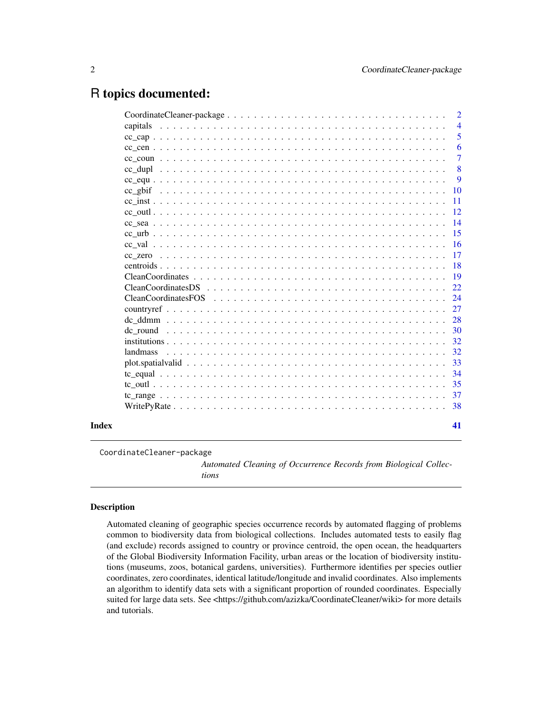## <span id="page-1-0"></span>R topics documented:

| $CC\hspace{0.2cm} ZCTO\hspace{0.2cm}\cdot\hspace{0.2cm}\cdot\hspace{0.2cm}\cdot\hspace{0.2cm}\cdot\hspace{0.2cm}\cdot\hspace{0.2cm}\cdot\hspace{0.2cm}\cdot\hspace{0.2cm}\cdot\hspace{0.2cm}\cdot\hspace{0.2cm}\cdot\hspace{0.2cm}\cdot\hspace{0.2cm}\cdot\hspace{0.2cm}\cdot\hspace{0.2cm}\cdot\hspace{0.2cm}\cdot\hspace{0.2cm}\cdot\hspace{0.2cm}\cdot\hspace{0.2cm}\cdot\hspace{0.2cm}\cdot\hspace{0.2cm}\cdot\hspace{0.2$<br>landmass |  |  |  | $\overline{2}$ |
|--------------------------------------------------------------------------------------------------------------------------------------------------------------------------------------------------------------------------------------------------------------------------------------------------------------------------------------------------------------------------------------------------------------------------------------------|--|--|--|----------------|
|                                                                                                                                                                                                                                                                                                                                                                                                                                            |  |  |  | $\overline{4}$ |
|                                                                                                                                                                                                                                                                                                                                                                                                                                            |  |  |  | 5              |
|                                                                                                                                                                                                                                                                                                                                                                                                                                            |  |  |  | 6              |
|                                                                                                                                                                                                                                                                                                                                                                                                                                            |  |  |  | 7              |
|                                                                                                                                                                                                                                                                                                                                                                                                                                            |  |  |  | 8              |
|                                                                                                                                                                                                                                                                                                                                                                                                                                            |  |  |  | 9              |
|                                                                                                                                                                                                                                                                                                                                                                                                                                            |  |  |  | 10             |
|                                                                                                                                                                                                                                                                                                                                                                                                                                            |  |  |  | 11             |
|                                                                                                                                                                                                                                                                                                                                                                                                                                            |  |  |  | 12             |
|                                                                                                                                                                                                                                                                                                                                                                                                                                            |  |  |  | 14             |
|                                                                                                                                                                                                                                                                                                                                                                                                                                            |  |  |  | 15             |
|                                                                                                                                                                                                                                                                                                                                                                                                                                            |  |  |  | 16             |
|                                                                                                                                                                                                                                                                                                                                                                                                                                            |  |  |  | 17             |
|                                                                                                                                                                                                                                                                                                                                                                                                                                            |  |  |  | 18             |
|                                                                                                                                                                                                                                                                                                                                                                                                                                            |  |  |  | 19             |
|                                                                                                                                                                                                                                                                                                                                                                                                                                            |  |  |  | 22             |
|                                                                                                                                                                                                                                                                                                                                                                                                                                            |  |  |  | 24             |
|                                                                                                                                                                                                                                                                                                                                                                                                                                            |  |  |  | 27             |
|                                                                                                                                                                                                                                                                                                                                                                                                                                            |  |  |  | 28             |
|                                                                                                                                                                                                                                                                                                                                                                                                                                            |  |  |  | 30             |
|                                                                                                                                                                                                                                                                                                                                                                                                                                            |  |  |  | 32             |
|                                                                                                                                                                                                                                                                                                                                                                                                                                            |  |  |  | 32             |
|                                                                                                                                                                                                                                                                                                                                                                                                                                            |  |  |  | 33             |
|                                                                                                                                                                                                                                                                                                                                                                                                                                            |  |  |  | 34             |
|                                                                                                                                                                                                                                                                                                                                                                                                                                            |  |  |  | 35             |
|                                                                                                                                                                                                                                                                                                                                                                                                                                            |  |  |  | 37             |
|                                                                                                                                                                                                                                                                                                                                                                                                                                            |  |  |  | 38             |
|                                                                                                                                                                                                                                                                                                                                                                                                                                            |  |  |  | 41             |

CoordinateCleaner-package

*Automated Cleaning of Occurrence Records from Biological Collections*

### Description

Automated cleaning of geographic species occurrence records by automated flagging of problems common to biodiversity data from biological collections. Includes automated tests to easily flag (and exclude) records assigned to country or province centroid, the open ocean, the headquarters of the Global Biodiversity Information Facility, urban areas or the location of biodiversity institutions (museums, zoos, botanical gardens, universities). Furthermore identifies per species outlier coordinates, zero coordinates, identical latitude/longitude and invalid coordinates. Also implements an algorithm to identify data sets with a significant proportion of rounded coordinates. Especially suited for large data sets. See <https://github.com/azizka/CoordinateCleaner/wiki> for more details and tutorials.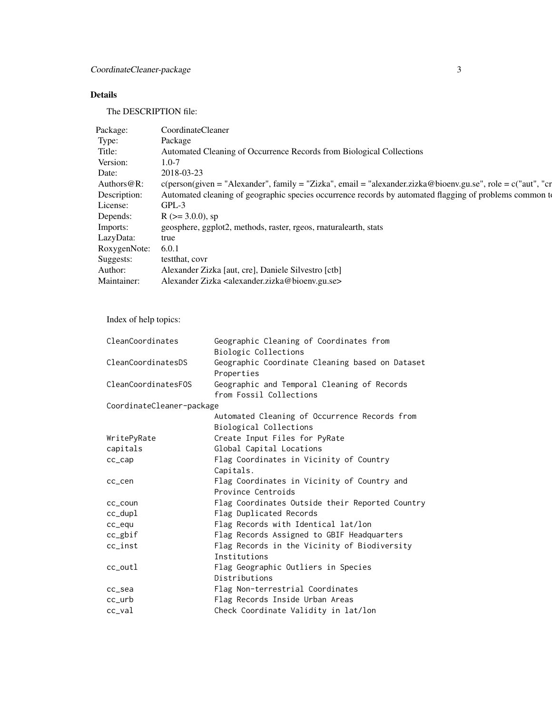### Details

The DESCRIPTION file:

| CoordinateCleaner                                                                                                      |
|------------------------------------------------------------------------------------------------------------------------|
| Package                                                                                                                |
| Automated Cleaning of Occurrence Records from Biological Collections                                                   |
|                                                                                                                        |
|                                                                                                                        |
| Authors@R: c(person(given = "Alexander", family = "Zizka", email = "alexander.zizka@bioenv.gu.se", role = c("aut", "cr |
| Description: Automated cleaning of geographic species occurrence records by automated flagging of problems common to   |
| $GPL-3$                                                                                                                |
| Depends: $R (= 3.0.0)$ , sp                                                                                            |
| geosphere, ggplot2, methods, raster, rgeos, rnaturalearth, stats                                                       |
|                                                                                                                        |
| RoxygenNote: 6.0.1                                                                                                     |
|                                                                                                                        |
| Suggests: testthat, covr                                                                                               |
| Alexander Zizka [aut, cre], Daniele Silvestro [ctb]                                                                    |
| Maintainer: Alexander Zizka <alexander.zizka@bioenv.gu.se></alexander.zizka@bioenv.gu.se>                              |
|                                                                                                                        |

Index of help topics:

| CleanCoordinates          | Geographic Cleaning of Coordinates from         |
|---------------------------|-------------------------------------------------|
|                           | Biologic Collections                            |
| CleanCoordinatesDS        | Geographic Coordinate Cleaning based on Dataset |
|                           | Properties                                      |
| CleanCoordinatesFOS       | Geographic and Temporal Cleaning of Records     |
|                           | from Fossil Collections                         |
| CoordinateCleaner-package |                                                 |
|                           | Automated Cleaning of Occurrence Records from   |
|                           | Biological Collections                          |
| WritePyRate               | Create Input Files for PyRate                   |
| capitals                  | Global Capital Locations                        |
| $cc$ _ $cap$              | Flag Coordinates in Vicinity of Country         |
|                           | Capitals.                                       |
| cc_cen                    | Flag Coordinates in Vicinity of Country and     |
|                           | Province Centroids                              |
| cc_coun                   | Flag Coordinates Outside their Reported Country |
| $cc$ _dupl                | Flag Duplicated Records                         |
| cc_equ                    | Flag Records with Identical lat/lon             |
| cc_gbif                   | Flag Records Assigned to GBIF Headquarters      |
| $cc\_inst$                | Flag Records in the Vicinity of Biodiversity    |
|                           | Institutions                                    |
| $cc_$ outl                | Flag Geographic Outliers in Species             |
|                           | Distributions                                   |
| cc_sea                    | Flag Non-terrestrial Coordinates                |
| $cc_$                     | Flag Records Inside Urban Areas                 |
| $cc$ _val                 | Check Coordinate Validity in lat/lon            |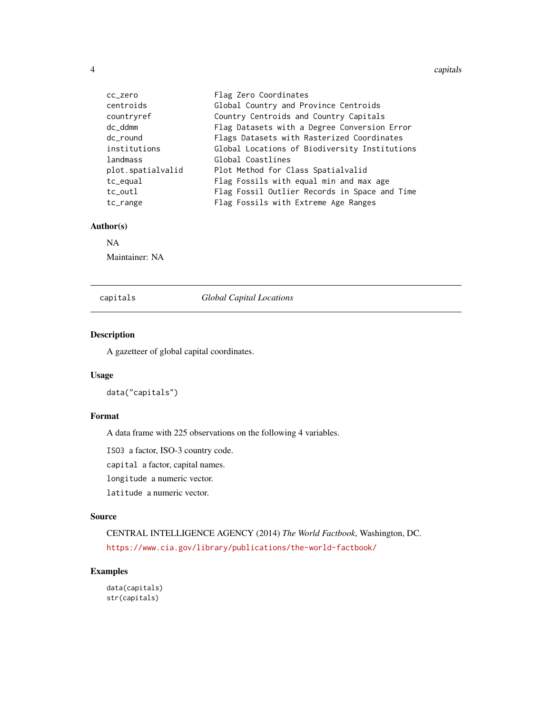4 capitals and the contract of the contract of the contract of the contract of the contract of the contract of the contract of the contract of the contract of the contract of the contract of the contract of the contract of

| cc_zero           | Flag Zero Coordinates                         |
|-------------------|-----------------------------------------------|
| centroids         | Global Country and Province Centroids         |
| countryref        | Country Centroids and Country Capitals        |
| dc ddmm           | Flag Datasets with a Degree Conversion Error  |
| dc_round          | Flags Datasets with Rasterized Coordinates    |
| institutions      | Global Locations of Biodiversity Institutions |
| landmass          | Global Coastlines                             |
| plot.spatialvalid | Plot Method for Class Spatialvalid            |
| tc_equal          | Flag Fossils with equal min and max age       |
| tc_outl           | Flag Fossil Outlier Records in Space and Time |
| tc_range          | Flag Fossils with Extreme Age Ranges          |

### Author(s)

### NA

Maintainer: NA

<span id="page-3-1"></span>capitals *Global Capital Locations*

### Description

A gazetteer of global capital coordinates.

### Usage

data("capitals")

### Format

A data frame with 225 observations on the following 4 variables.

ISO3 a factor, ISO-3 country code.

capital a factor, capital names.

```
longitude a numeric vector.
```
latitude a numeric vector.

### Source

CENTRAL INTELLIGENCE AGENCY (2014) *The World Factbook*, Washington, DC. <https://www.cia.gov/library/publications/the-world-factbook/>

### Examples

data(capitals) str(capitals)

<span id="page-3-0"></span>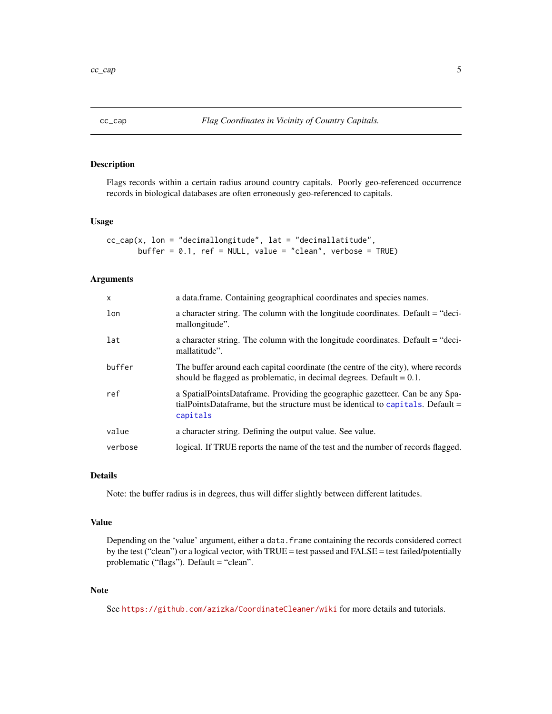<span id="page-4-0"></span>

### Description

Flags records within a certain radius around country capitals. Poorly geo-referenced occurrence records in biological databases are often erroneously geo-referenced to capitals.

### Usage

 $cc_{cap}(x, \text{lon} = "decimallongitude", \text{lat} = "decimalulate",$ buffer =  $0.1$ , ref = NULL, value = "clean", verbose = TRUE)

### Arguments

| $\mathsf{x}$ | a data frame. Containing geographical coordinates and species names.                                                                                                         |
|--------------|------------------------------------------------------------------------------------------------------------------------------------------------------------------------------|
| lon          | a character string. The column with the longitude coordinates. Default = "deci-<br>mallongitude".                                                                            |
| lat          | a character string. The column with the longitude coordinates. Default = "deci-<br>mallatitude".                                                                             |
| buffer       | The buffer around each capital coordinate (the centre of the city), where records<br>should be flagged as problematic, in decimal degrees. Default $= 0.1$ .                 |
| ref          | a SpatialPointsDataframe. Providing the geographic gazetteer. Can be any Spa-<br>tialPointsDataframe, but the structure must be identical to capitals. Default =<br>capitals |
| value        | a character string. Defining the output value. See value.                                                                                                                    |
| verbose      | logical. If TRUE reports the name of the test and the number of records flagged.                                                                                             |

### Details

Note: the buffer radius is in degrees, thus will differ slightly between different latitudes.

### Value

Depending on the 'value' argument, either a data.frame containing the records considered correct by the test ("clean") or a logical vector, with TRUE = test passed and FALSE = test failed/potentially problematic ("flags"). Default = "clean".

### Note

See <https://github.com/azizka/CoordinateCleaner/wiki> for more details and tutorials.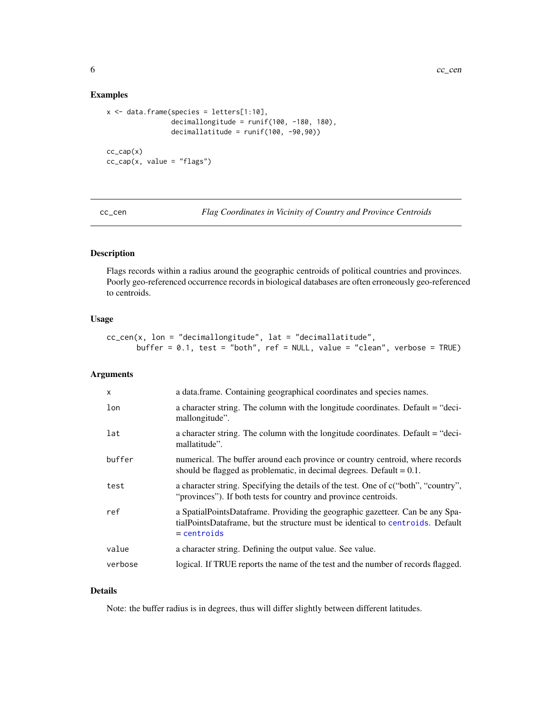### Examples

```
x \le - data.frame(species = letters[1:10],
                decimallongitude = runif(100, -180, 180),
                decimallatitude = runif(100, -90,90))
cc_{cap}(x)cc_{cap}(x, value = "flags")
```
cc\_cen *Flag Coordinates in Vicinity of Country and Province Centroids*

### Description

Flags records within a radius around the geographic centroids of political countries and provinces. Poorly geo-referenced occurrence records in biological databases are often erroneously geo-referenced to centroids.

### Usage

cc\_cen(x, lon = "decimallongitude", lat = "decimallatitude", buffer = 0.1, test = "both", ref = NULL, value = "clean", verbose = TRUE)

### Arguments

| X       | a data.frame. Containing geographical coordinates and species names.                                                                                                             |
|---------|----------------------------------------------------------------------------------------------------------------------------------------------------------------------------------|
| lon     | a character string. The column with the longitude coordinates. Default = "deci-<br>mallongitude".                                                                                |
| lat     | a character string. The column with the longitude coordinates. Default = "deci-<br>mallatitude".                                                                                 |
| buffer  | numerical. The buffer around each province or country centroid, where records<br>should be flagged as problematic, in decimal degrees. Default $= 0.1$ .                         |
| test    | a character string. Specifying the details of the test. One of c("both", "country",<br>"provinces"). If both tests for country and province centroids.                           |
| ref     | a SpatialPointsDataframe. Providing the geographic gazetteer. Can be any Spa-<br>tialPointsDataframe, but the structure must be identical to centroids. Default<br>$=$ centroids |
| value   | a character string. Defining the output value. See value.                                                                                                                        |
| verbose | logical. If TRUE reports the name of the test and the number of records flagged.                                                                                                 |

### Details

Note: the buffer radius is in degrees, thus will differ slightly between different latitudes.

<span id="page-5-0"></span>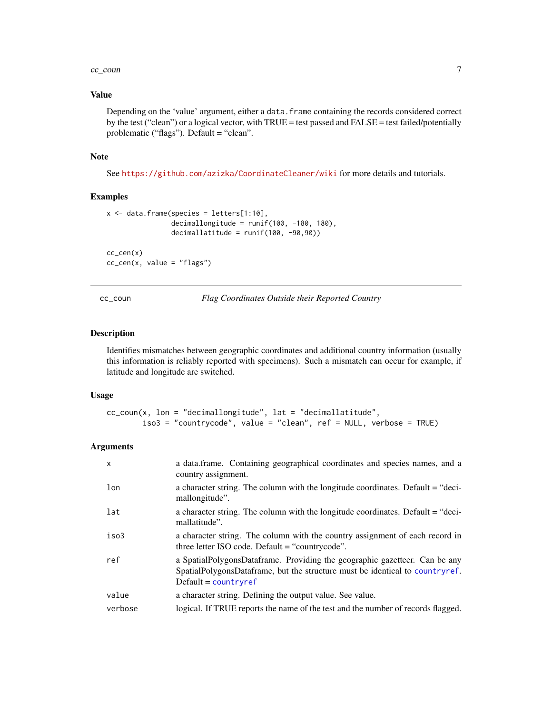### <span id="page-6-0"></span> $cc_{\text{c}oun}$  7

### Value

Depending on the 'value' argument, either a data.frame containing the records considered correct by the test ("clean") or a logical vector, with TRUE = test passed and FALSE = test failed/potentially problematic ("flags"). Default = "clean".

### Note

See <https://github.com/azizka/CoordinateCleaner/wiki> for more details and tutorials.

### Examples

```
x <- data.frame(species = letters[1:10],
                decimallongitude = runif(100, -180, 180),
                decimallatitude = runif(100, -90,90))
cc_cen(x)
cc_ccen(x, value = "flags")
```
cc\_coun *Flag Coordinates Outside their Reported Country*

### Description

Identifies mismatches between geographic coordinates and additional country information (usually this information is reliably reported with specimens). Such a mismatch can occur for example, if latitude and longitude are switched.

### Usage

```
cc_{\text{c}count}(x, \text{lon} = "decimallongitude", \text{lat} = "decimallatitude",iso3 = "countrycode", value = "clean", ref = NULL, verbose = TRUE)
```

| $\mathsf{x}$ | a data.frame. Containing geographical coordinates and species names, and a<br>country assignment.                                                                                    |
|--------------|--------------------------------------------------------------------------------------------------------------------------------------------------------------------------------------|
| lon          | a character string. The column with the longitude coordinates. Default = "deci-<br>mallongitude".                                                                                    |
| lat          | a character string. The column with the longitude coordinates. Default = "deci-<br>mallatitude".                                                                                     |
| iso3         | a character string. The column with the country assignment of each record in<br>three letter ISO code. Default $=$ "countrycode".                                                    |
| ref          | a SpatialPolygonsDataframe. Providing the geographic gazetteer. Can be any<br>SpatialPolygonsDataframe, but the structure must be identical to countryref.<br>$Default = countryref$ |
| value        | a character string. Defining the output value. See value.                                                                                                                            |
| verbose      | logical. If TRUE reports the name of the test and the number of records flagged.                                                                                                     |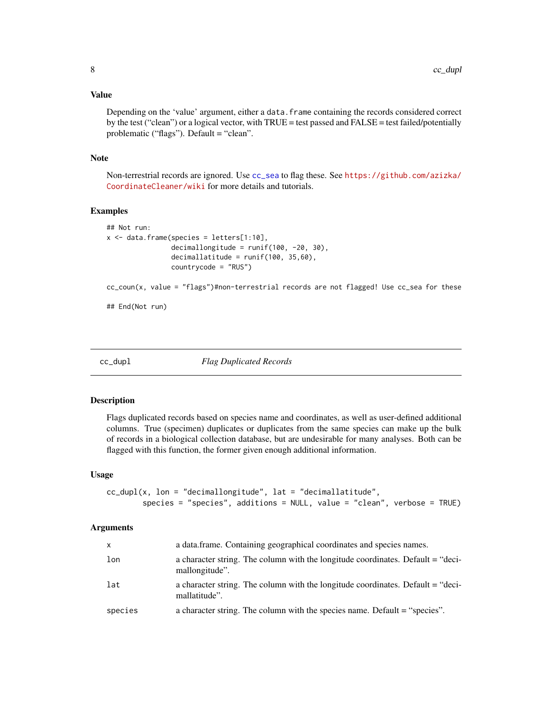### <span id="page-7-0"></span>Value

Depending on the 'value' argument, either a data.frame containing the records considered correct by the test ("clean") or a logical vector, with TRUE = test passed and FALSE = test failed/potentially problematic ("flags"). Default = "clean".

### Note

Non-terrestrial records are ignored. Use [cc\\_sea](#page-13-1) to flag these. See [https://github.com/azizka/](https://github.com/azizka/CoordinateCleaner/wiki) [CoordinateCleaner/wiki](https://github.com/azizka/CoordinateCleaner/wiki) for more details and tutorials.

### Examples

```
## Not run:
x \le - data.frame(species = letters[1:10],
                decimallongitude = runif(100, -20, 30),
                decimallatitude = runif(100, 35,60),
                countrycode = "RUS")
```
 $cc_{\text{c}c}$  (x, value = "flags")#non-terrestrial records are not flagged! Use  $cc_{\text{c}s}$  for these

## End(Not run)

cc\_dupl *Flag Duplicated Records*

### Description

Flags duplicated records based on species name and coordinates, as well as user-defined additional columns. True (specimen) duplicates or duplicates from the same species can make up the bulk of records in a biological collection database, but are undesirable for many analyses. Both can be flagged with this function, the former given enough additional information.

### Usage

```
cc_dupl(x, lon = "decimallongitude", lat = "decimal lattice",species = "species", additions = NULL, value = "clean", verbose = TRUE)
```

| $\mathsf{x}$ | a data.frame. Containing geographical coordinates and species names.                              |
|--------------|---------------------------------------------------------------------------------------------------|
| lon          | a character string. The column with the longitude coordinates. Default = "deci-<br>mallongitude". |
| lat          | a character string. The column with the longitude coordinates. Default = "deci-<br>mallatitude".  |
| species      | a character string. The column with the species name. Default = "species".                        |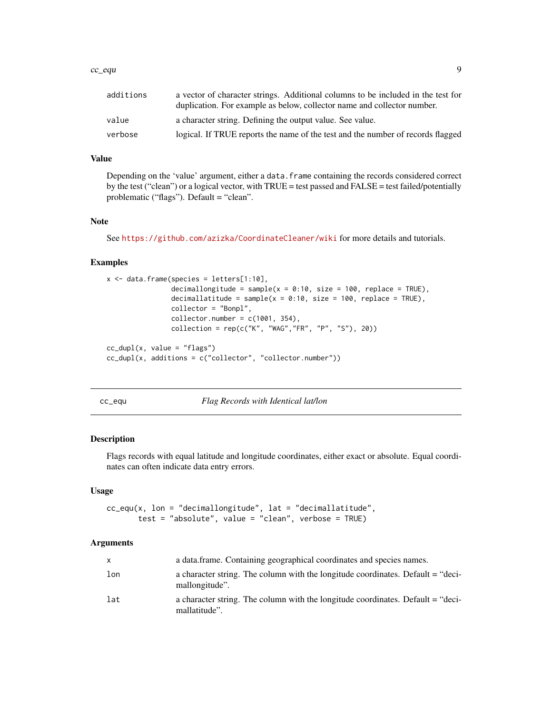### <span id="page-8-0"></span> $cc$ \_equ  $\qquad \qquad \qquad 9$

| additions | a vector of character strings. Additional columns to be included in the test for<br>duplication. For example as below, collector name and collector number. |
|-----------|-------------------------------------------------------------------------------------------------------------------------------------------------------------|
| value     | a character string. Defining the output value. See value.                                                                                                   |
| verbose   | logical. If TRUE reports the name of the test and the number of records flagged                                                                             |

### Value

Depending on the 'value' argument, either a data.frame containing the records considered correct by the test ("clean") or a logical vector, with TRUE = test passed and FALSE = test failed/potentially problematic ("flags"). Default = "clean".

### Note

See <https://github.com/azizka/CoordinateCleaner/wiki> for more details and tutorials.

### Examples

```
x \le - data.frame(species = letters[1:10],
                decimallongitude = sample(x = 0:10, size = 100, replace = TRUE),
                decimallatitude = sample(x = 0:10, size = 100, replace = TRUE),
                collector = "Bonpl",
                collector_number = c(1001, 354),
                collection = rep(c("K", "WAG", "FR", "P", "S"), 20))cc_dupl(x, value = "flags")cc_dupl(x, additions = c("collector", "collector.number"))
```
cc\_equ *Flag Records with Identical lat/lon*

### Description

Flags records with equal latitude and longitude coordinates, either exact or absolute. Equal coordinates can often indicate data entry errors.

### Usage

 $cc\_equ(x, \text{lon} = "decimallongitude", \text{lat} = "decimalulate",$ test = "absolute", value = "clean", verbose = TRUE)

| $\mathsf{x}$ | a data.frame. Containing geographical coordinates and species names.                              |
|--------------|---------------------------------------------------------------------------------------------------|
| lon          | a character string. The column with the longitude coordinates. Default = "deci-<br>mallongitude". |
| lat          | a character string. The column with the longitude coordinates. Default = "deci-<br>mallatitude".  |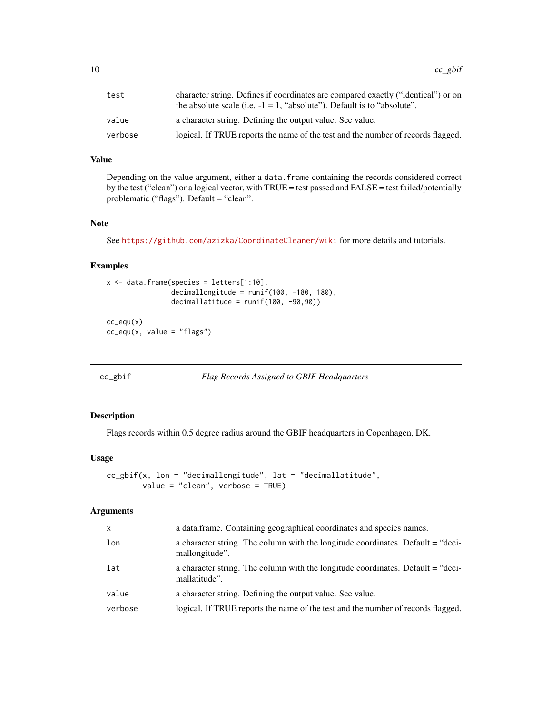<span id="page-9-0"></span>

| test    | character string. Defines if coordinates are compared exactly ("identical") or on |
|---------|-----------------------------------------------------------------------------------|
|         | the absolute scale (i.e. $-1 = 1$ , "absolute"). Default is to "absolute".        |
| value   | a character string. Defining the output value. See value.                         |
| verbose | logical. If TRUE reports the name of the test and the number of records flagged.  |

### Value

Depending on the value argument, either a data. frame containing the records considered correct by the test ("clean") or a logical vector, with TRUE = test passed and FALSE = test failed/potentially problematic ("flags"). Default = "clean".

### Note

See <https://github.com/azizka/CoordinateCleaner/wiki> for more details and tutorials.

### Examples

```
x \le - data.frame(species = letters[1:10],
                decimallongitude = runif(100, -180, 180),
                decimallatitude = runif(100, -90, 90))cc_equ(x)
cc_{equ}(x, value = "flags")
```

```
cc_gbif Flag Records Assigned to GBIF Headquarters
```
### Description

Flags records within 0.5 degree radius around the GBIF headquarters in Copenhagen, DK.

### Usage

```
cc_gbif(x, lon = "decimallongitude", lat = "decimallatitude",
       value = "clean", verbose = TRUE)
```

| X.      | a data.frame. Containing geographical coordinates and species names.                              |
|---------|---------------------------------------------------------------------------------------------------|
| lon     | a character string. The column with the longitude coordinates. Default = "deci-<br>mallongitude". |
| lat     | a character string. The column with the longitude coordinates. Default = "deci-<br>mallatitude".  |
| value   | a character string. Defining the output value. See value.                                         |
| verbose | logical. If TRUE reports the name of the test and the number of records flagged.                  |
|         |                                                                                                   |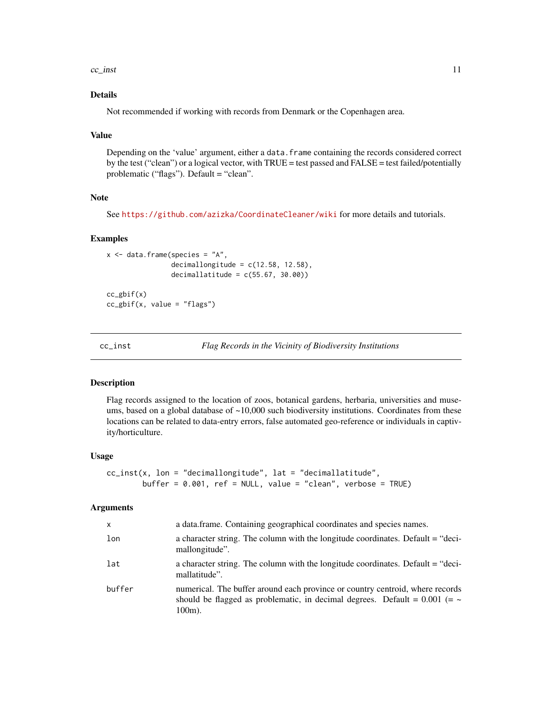<span id="page-10-0"></span> $cc\_inst$  11

### Details

Not recommended if working with records from Denmark or the Copenhagen area.

### Value

Depending on the 'value' argument, either a data. frame containing the records considered correct by the test ("clean") or a logical vector, with TRUE = test passed and FALSE = test failed/potentially problematic ("flags"). Default = "clean".

### Note

See <https://github.com/azizka/CoordinateCleaner/wiki> for more details and tutorials.

### Examples

```
x <- data.frame(species = "A",
                decimallongitude = c(12.58, 12.58),
                decimallatitude = c(55.67, 30.00))
cc_gbif(x)
```
 $cc\_gbif(x, value = "flags")$ 

cc\_inst *Flag Records in the Vicinity of Biodiversity Institutions*

### Description

Flag records assigned to the location of zoos, botanical gardens, herbaria, universities and museums, based on a global database of  $\sim$ 10,000 such biodiversity institutions. Coordinates from these locations can be related to data-entry errors, false automated geo-reference or individuals in captivity/horticulture.

### Usage

```
cc\_inst(x, \text{lon} = "decimallongitude", \text{lat} = "decimal lattice",buffer = 0.001, ref = NULL, value = "clean", verbose = TRUE)
```

| X      | a data.frame. Containing geographical coordinates and species names.                                                                                                            |
|--------|---------------------------------------------------------------------------------------------------------------------------------------------------------------------------------|
| lon    | a character string. The column with the longitude coordinates. Default = "deci-<br>mallongitude".                                                                               |
| lat    | a character string. The column with the longitude coordinates. Default = "deci-<br>mallatitude".                                                                                |
| buffer | numerical. The buffer around each province or country centroid, where records<br>should be flagged as problematic, in decimal degrees. Default = $0.001$ (= $\sim$<br>$100m$ ). |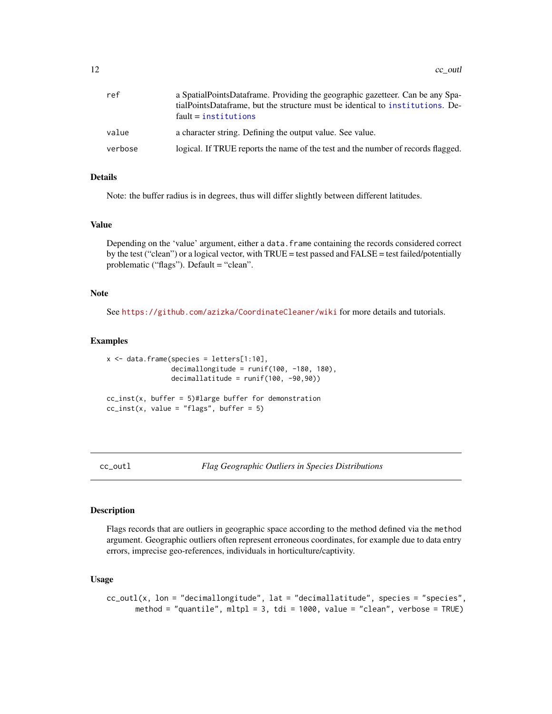<span id="page-11-0"></span>

| ref     | a SpatialPointsDataframe. Providing the geographic gazetteer. Can be any Spa-<br>tialPointsDataframe, but the structure must be identical to institutions. De-<br>$fault = institutions$ |
|---------|------------------------------------------------------------------------------------------------------------------------------------------------------------------------------------------|
| value   | a character string. Defining the output value. See value.                                                                                                                                |
| verbose | logical. If TRUE reports the name of the test and the number of records flagged.                                                                                                         |

### Details

Note: the buffer radius is in degrees, thus will differ slightly between different latitudes.

### Value

Depending on the 'value' argument, either a data.frame containing the records considered correct by the test ("clean") or a logical vector, with TRUE = test passed and FALSE = test failed/potentially problematic ("flags"). Default = "clean".

### Note

See <https://github.com/azizka/CoordinateCleaner/wiki> for more details and tutorials.

### Examples

```
x \le - data.frame(species = letters[1:10],
                decimallongitude = runif(100, -180, 180),
                decimallatitude = runif(100, -90,90))
cc\_inst(x, buffer = 5)#large buffer for demonstration
cc\_inst(x, value = "flags", buffer = 5)
```
cc\_outl *Flag Geographic Outliers in Species Distributions*

### Description

Flags records that are outliers in geographic space according to the method defined via the method argument. Geographic outliers often represent erroneous coordinates, for example due to data entry errors, imprecise geo-references, individuals in horticulture/captivity.

### Usage

```
cc_outl(x, lon = "decimallongitude", lat = "decimallatitude", species = "species",
      method = "quantile", mltpl = 3, tdi = 1000, value = "clean", verbose = TRUE)
```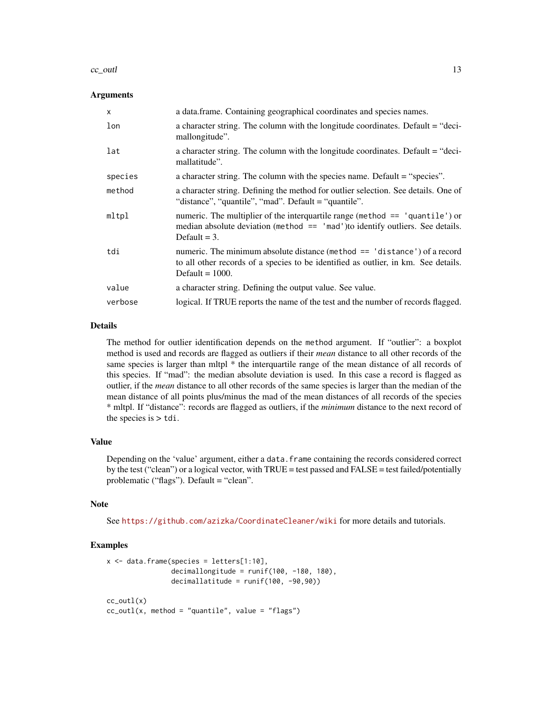### $cc_$ outl $13$

### Arguments

| $\mathsf{x}$ | a data.frame. Containing geographical coordinates and species names.                                                                                                                  |
|--------------|---------------------------------------------------------------------------------------------------------------------------------------------------------------------------------------|
| lon          | a character string. The column with the longitude coordinates. Default = "deci-<br>mallongitude".                                                                                     |
| lat          | a character string. The column with the longitude coordinates. Default = "deci-<br>mallatitude".                                                                                      |
| species      | a character string. The column with the species name. Default = "species".                                                                                                            |
| method       | a character string. Defining the method for outlier selection. See details. One of<br>"distance", "quantile", "mad". Default = "quantile".                                            |
| mltpl        | numeric. The multiplier of the interquartile range (method $==$ 'quantile') or<br>median absolute deviation (method $==$ 'mad') to identify outliers. See details.<br>Default $=$ 3.  |
| tdi          | numeric. The minimum absolute distance (method == 'distance') of a record<br>to all other records of a species to be identified as outlier, in km. See details.<br>Default $= 1000$ . |
| value        | a character string. Defining the output value. See value.                                                                                                                             |
| verbose      | logical. If TRUE reports the name of the test and the number of records flagged.                                                                                                      |

### Details

The method for outlier identification depends on the method argument. If "outlier": a boxplot method is used and records are flagged as outliers if their *mean* distance to all other records of the same species is larger than mltpl  $*$  the interquartile range of the mean distance of all records of this species. If "mad": the median absolute deviation is used. In this case a record is flagged as outlier, if the *mean* distance to all other records of the same species is larger than the median of the mean distance of all points plus/minus the mad of the mean distances of all records of the species \* mltpl. If "distance": records are flagged as outliers, if the *minimum* distance to the next record of the species is  $> \text{tdi}$ .

### Value

Depending on the 'value' argument, either a data. frame containing the records considered correct by the test ("clean") or a logical vector, with TRUE = test passed and FALSE = test failed/potentially problematic ("flags"). Default = "clean".

### Note

See <https://github.com/azizka/CoordinateCleaner/wiki> for more details and tutorials.

### Examples

```
x \le - data.frame(species = letters[1:10],
                decimallongitude = runif(100, -180, 180),
                decimallatitude = runif(100, -90, 90))cc_utl(x)cc_utl(x, method = "quantile", value = "flags")
```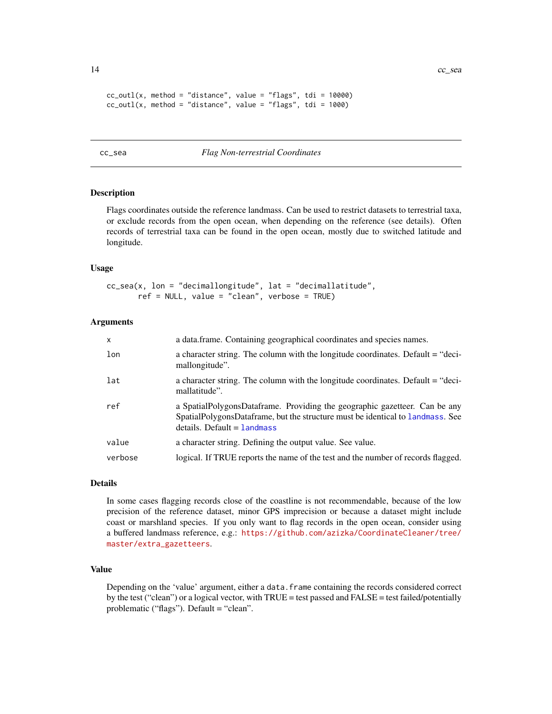```
cc_utl(x, method = "distance", value = "flags", tdi = 10000)
cc_utl(x, method = "distance", value = "flags", tdi = 1000)
```
### <span id="page-13-1"></span>cc\_sea *Flag Non-terrestrial Coordinates*

### Description

Flags coordinates outside the reference landmass. Can be used to restrict datasets to terrestrial taxa, or exclude records from the open ocean, when depending on the reference (see details). Often records of terrestrial taxa can be found in the open ocean, mostly due to switched latitude and longitude.

### Usage

```
cc_sea(x, lon = "decimallongitude", lat = "decimallatitude",
       ref = NULL, value = "clean", verbose = TRUE)
```
### Arguments

| $\mathsf{x}$ | a data.frame. Containing geographical coordinates and species names.                                                                                                                          |
|--------------|-----------------------------------------------------------------------------------------------------------------------------------------------------------------------------------------------|
| lon          | a character string. The column with the longitude coordinates. Default = "deci-<br>mallongitude".                                                                                             |
| lat          | a character string. The column with the longitude coordinates. Default = "deci-<br>mallatitude".                                                                                              |
| ref          | a SpatialPolygonsDataframe. Providing the geographic gazetteer. Can be any<br>SpatialPolygonsDataframe, but the structure must be identical to landmass. See<br>$details. Default = landmass$ |
| value        | a character string. Defining the output value. See value.                                                                                                                                     |
| verbose      | logical. If TRUE reports the name of the test and the number of records flagged.                                                                                                              |

### Details

In some cases flagging records close of the coastline is not recommendable, because of the low precision of the reference dataset, minor GPS imprecision or because a dataset might include coast or marshland species. If you only want to flag records in the open ocean, consider using a buffered landmass reference, e.g.: [https://github.com/azizka/CoordinateCleaner/tree/](https://github.com/azizka/CoordinateCleaner/tree/master/extra_gazetteers) [master/extra\\_gazetteers](https://github.com/azizka/CoordinateCleaner/tree/master/extra_gazetteers).

### Value

Depending on the 'value' argument, either a data.frame containing the records considered correct by the test ("clean") or a logical vector, with TRUE = test passed and FALSE = test failed/potentially problematic ("flags"). Default = "clean".

<span id="page-13-0"></span>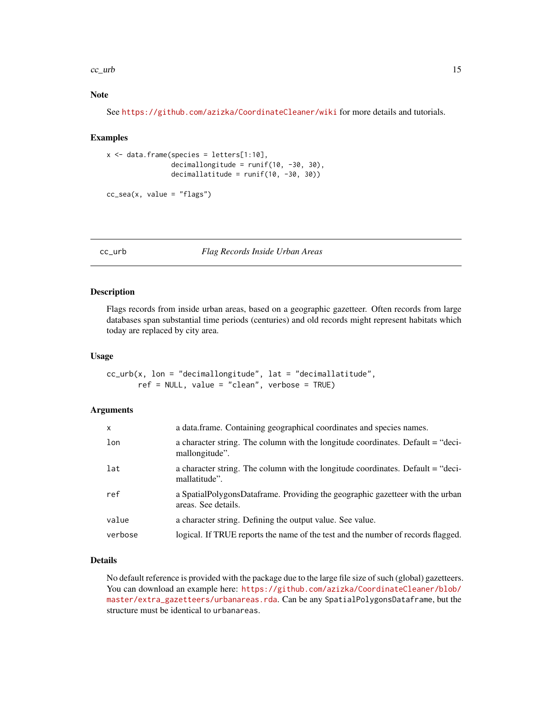### <span id="page-14-0"></span> $cc\_urb$  15

### Note

See <https://github.com/azizka/CoordinateCleaner/wiki> for more details and tutorials.

### Examples

```
x \le - data.frame(species = letters[1:10],
                decimallongitude = runif(10, -30, 30),
                decimallatitude = runif(10, -30, 30))
```

```
cc\_sea(x, value = "flags")
```
cc\_urb *Flag Records Inside Urban Areas*

### Description

Flags records from inside urban areas, based on a geographic gazetteer. Often records from large databases span substantial time periods (centuries) and old records might represent habitats which today are replaced by city area.

### Usage

```
cc_urb(x, lon = "decimallongitude", lat = "decimallatitude",
       ref = NULL, value = "clean", verbose = TRUE)
```
### Arguments

| $\mathsf{x}$ | a data.frame. Containing geographical coordinates and species names.                                 |
|--------------|------------------------------------------------------------------------------------------------------|
| lon          | a character string. The column with the longitude coordinates. Default = "deci-<br>mallongitude".    |
| lat          | a character string. The column with the longitude coordinates. Default = "deci-<br>mallatitude".     |
| ref          | a SpatialPolygonsDataframe. Providing the geographic gazetteer with the urban<br>areas. See details. |
| value        | a character string. Defining the output value. See value.                                            |
| verbose      | logical. If TRUE reports the name of the test and the number of records flagged.                     |

### Details

No default reference is provided with the package due to the large file size of such (global) gazetteers. You can download an example here: [https://github.com/azizka/CoordinateCleaner/blob/](https://github.com/azizka/CoordinateCleaner/blob/master/extra_gazetteers/urbanareas.rda) [master/extra\\_gazetteers/urbanareas.rda](https://github.com/azizka/CoordinateCleaner/blob/master/extra_gazetteers/urbanareas.rda). Can be any SpatialPolygonsDataframe, but the structure must be identical to urbanareas.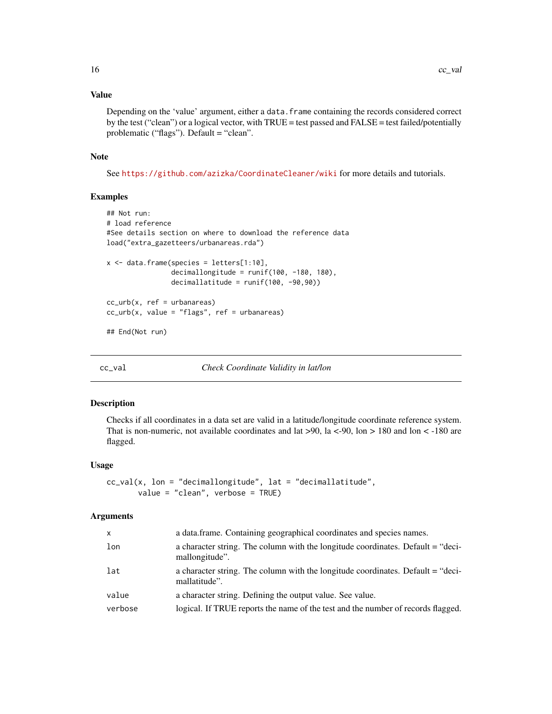### Value

Depending on the 'value' argument, either a data.frame containing the records considered correct by the test ("clean") or a logical vector, with TRUE = test passed and FALSE = test failed/potentially problematic ("flags"). Default = "clean".

### Note

See <https://github.com/azizka/CoordinateCleaner/wiki> for more details and tutorials.

### Examples

```
## Not run:
# load reference
#See details section on where to download the reference data
load("extra_gazetteers/urbanareas.rda")
x \le - data.frame(species = letters[1:10],
                decimallongitude = runif(100, -180, 180),
                decimallatitude = runif(100, -90,90))
cc_urb(x, ref = urbanareas)
cc_urb(x, value = "flags", ref = urbanareas)## End(Not run)
```
cc\_val *Check Coordinate Validity in lat/lon*

### Description

Checks if all coordinates in a data set are valid in a latitude/longitude coordinate reference system. That is non-numeric, not available coordinates and lat >90, la <-90, lon > 180 and lon < -180 are flagged.

### Usage

```
cc_val(x, lon = "decimallongitude", lat = "decimallatitude",
      value = "clean", verbose = TRUE)
```

| x       | a data.frame. Containing geographical coordinates and species names.                              |
|---------|---------------------------------------------------------------------------------------------------|
| lon     | a character string. The column with the longitude coordinates. Default = "deci-<br>mallongitude". |
| lat     | a character string. The column with the longitude coordinates. Default = "deci-<br>mallatitude".  |
| value   | a character string. Defining the output value. See value.                                         |
| verbose | logical. If TRUE reports the name of the test and the number of records flagged.                  |
|         |                                                                                                   |

<span id="page-15-0"></span>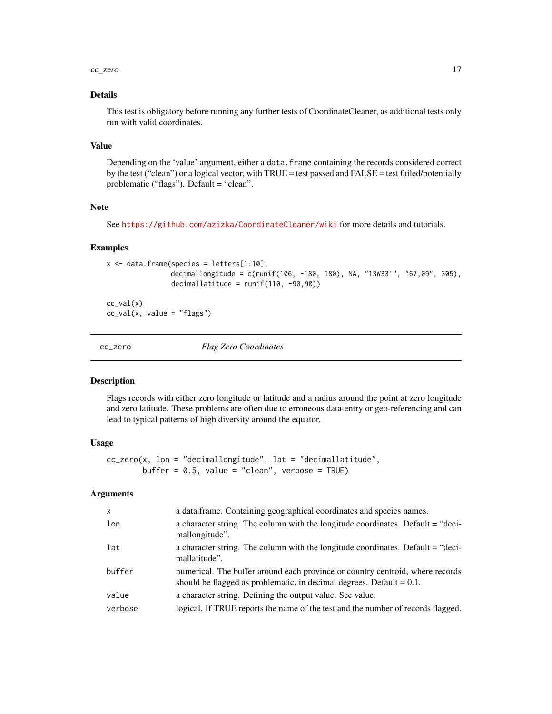### <span id="page-16-0"></span> $cc_$ zero  $17$

### Details

This test is obligatory before running any further tests of CoordinateCleaner, as additional tests only run with valid coordinates.

### Value

Depending on the 'value' argument, either a data.frame containing the records considered correct by the test ("clean") or a logical vector, with TRUE = test passed and FALSE = test failed/potentially problematic ("flags"). Default = "clean".

### Note

See <https://github.com/azizka/CoordinateCleaner/wiki> for more details and tutorials.

### Examples

```
x \le - data.frame(species = letters[1:10],
                decimallongitude = c(runif(106, -180, 180), NA, "13W33'", "67,09", 305),
                decimallatitude = runif(110, -90, 90))
```
 $cc\_val(x)$  $cc\_val(x, value = "flags")$ 

cc\_zero *Flag Zero Coordinates*

### Description

Flags records with either zero longitude or latitude and a radius around the point at zero longitude and zero latitude. These problems are often due to erroneous data-entry or geo-referencing and can lead to typical patterns of high diversity around the equator.

### Usage

```
cc_zero(x, lon = "decimallongitude", lat = "decimallatitude",
       buffer = 0.5, value = "clean", verbose = TRUE)
```

| $\mathsf{x}$ | a data.frame. Containing geographical coordinates and species names.                                                                                     |
|--------------|----------------------------------------------------------------------------------------------------------------------------------------------------------|
| lon          | a character string. The column with the longitude coordinates. Default = "deci-<br>mallongitude".                                                        |
| lat          | a character string. The column with the longitude coordinates. Default = "deci-<br>mallatitude".                                                         |
| buffer       | numerical. The buffer around each province or country centroid, where records<br>should be flagged as problematic, in decimal degrees. Default $= 0.1$ . |
| value        | a character string. Defining the output value. See value.                                                                                                |
| verbose      | logical. If TRUE reports the name of the test and the number of records flagged.                                                                         |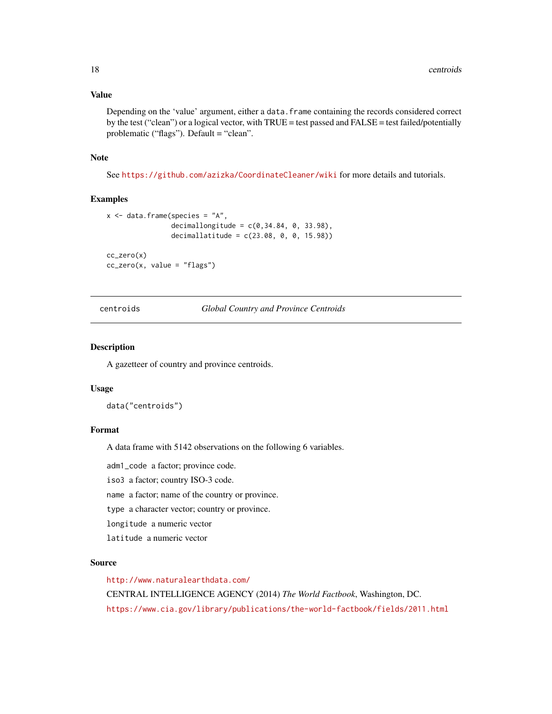### <span id="page-17-0"></span>Value

Depending on the 'value' argument, either a data. frame containing the records considered correct by the test ("clean") or a logical vector, with TRUE = test passed and FALSE = test failed/potentially problematic ("flags"). Default = "clean".

### Note

See <https://github.com/azizka/CoordinateCleaner/wiki> for more details and tutorials.

### Examples

```
x <- data.frame(species = "A",
                decimallongitude = c(0, 34.84, 0, 33.98),
                decimallatitude = c(23.08, 0, 0, 15.98)cc_zero(x)
cc\_zero(x, value = "flags")
```
centroids *Global Country and Province Centroids*

### Description

A gazetteer of country and province centroids.

#### Usage

data("centroids")

#### Format

A data frame with 5142 observations on the following 6 variables.

adm1\_code a factor; province code.

iso3 a factor; country ISO-3 code.

name a factor; name of the country or province.

type a character vector; country or province.

longitude a numeric vector

latitude a numeric vector

#### Source

<http://www.naturalearthdata.com/>

CENTRAL INTELLIGENCE AGENCY (2014) *The World Factbook*, Washington, DC. <https://www.cia.gov/library/publications/the-world-factbook/fields/2011.html>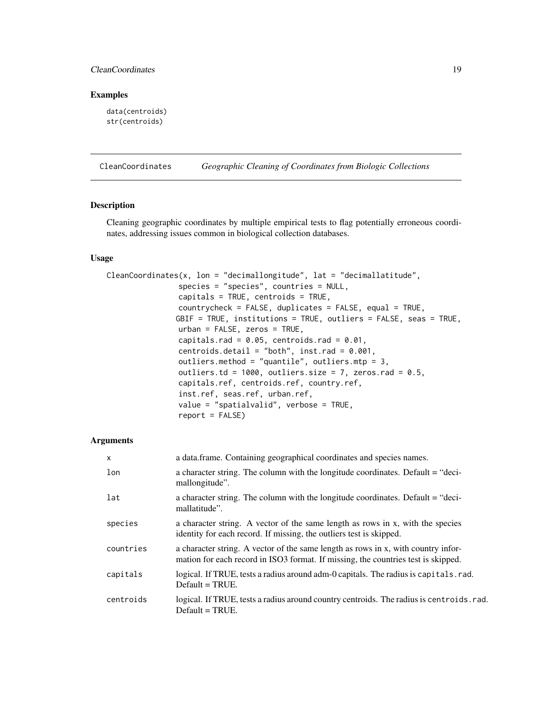### <span id="page-18-0"></span>CleanCoordinates 19

### Examples

data(centroids) str(centroids)

<span id="page-18-1"></span>CleanCoordinates *Geographic Cleaning of Coordinates from Biologic Collections*

### Description

Cleaning geographic coordinates by multiple empirical tests to flag potentially erroneous coordinates, addressing issues common in biological collection databases.

### Usage

| CleanCoordinates(x, lon = "decimallongitude", lat = "decimallatitude", |
|------------------------------------------------------------------------|
| $species = "species", countries = NULL,$                               |
| capitals = $TRUE$ , centroids = $TRUE$ ,                               |
| $countrycheck = FALSE, duplicates = FALSE, equal = TRUE,$              |
| GBIF = TRUE, institutions = TRUE, outliers = FALSE, seas = TRUE,       |
| $urban = FALSE, zeros = TRUE,$                                         |
| capitals.rad = $0.05$ , centroids.rad = $0.01$ ,                       |
| centroids.detail = "both", inst.rad = $0.001$ ,                        |
| outliers.method = "quantile", outliers.mtp = $3$ ,                     |
| outliers.td = $1000$ , outliers.size = 7, zeros.rad = 0.5,             |
| capitals.ref, centroids.ref, country.ref,                              |
| inst.ref, seas.ref, urban.ref,                                         |
| value = "spatialvalid", verbose = $TRUE$ ,                             |
| $report = FALSE)$                                                      |

| X         | a data frame. Containing geographical coordinates and species names.                                                                                                   |
|-----------|------------------------------------------------------------------------------------------------------------------------------------------------------------------------|
| lon       | a character string. The column with the longitude coordinates. Default = "deci-<br>mallongitude".                                                                      |
| lat       | a character string. The column with the longitude coordinates. Default = "deci-<br>mallatitude".                                                                       |
| species   | a character string. A vector of the same length as rows in x, with the species<br>identity for each record. If missing, the outliers test is skipped.                  |
| countries | a character string. A vector of the same length as rows in x, with country infor-<br>mation for each record in ISO3 format. If missing, the countries test is skipped. |
| capitals  | logical. If TRUE, tests a radius around adm-0 capitals. The radius is capitals. rad.<br>$Default = TRUE.$                                                              |
| centroids | logical. If TRUE, tests a radius around country centroids. The radius is centroids. rad.<br>$Default = TRUE.$                                                          |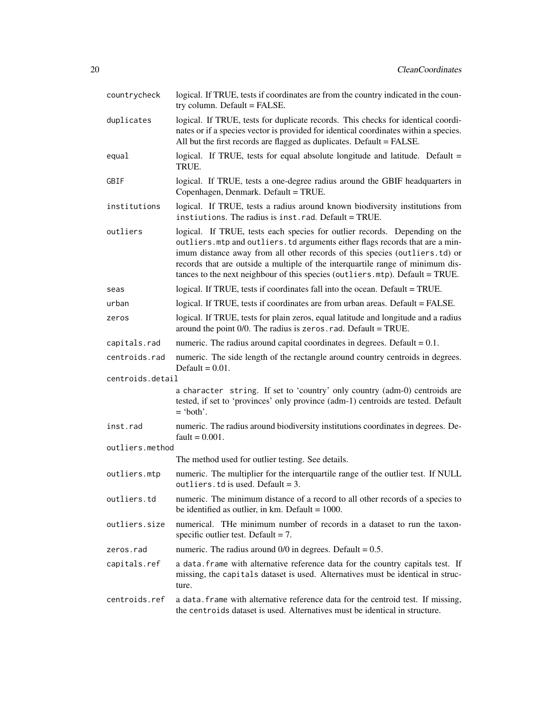| countrycheck     | logical. If TRUE, tests if coordinates are from the country indicated in the coun-<br>try column. Default = FALSE.                                                                                                                                                                                                                                                                                          |
|------------------|-------------------------------------------------------------------------------------------------------------------------------------------------------------------------------------------------------------------------------------------------------------------------------------------------------------------------------------------------------------------------------------------------------------|
| duplicates       | logical. If TRUE, tests for duplicate records. This checks for identical coordi-<br>nates or if a species vector is provided for identical coordinates within a species.<br>All but the first records are flagged as duplicates. Default = FALSE.                                                                                                                                                           |
| equal            | logical. If TRUE, tests for equal absolute longitude and latitude. Default =<br>TRUE.                                                                                                                                                                                                                                                                                                                       |
| GBIF             | logical. If TRUE, tests a one-degree radius around the GBIF headquarters in<br>Copenhagen, Denmark. Default = TRUE.                                                                                                                                                                                                                                                                                         |
| institutions     | logical. If TRUE, tests a radius around known biodiversity institutions from<br>instiutions. The radius is inst.rad. Default = TRUE.                                                                                                                                                                                                                                                                        |
| outliers         | logical. If TRUE, tests each species for outlier records. Depending on the<br>outliers. mtp and outliers. td arguments either flags records that are a min-<br>imum distance away from all other records of this species (outliers.td) or<br>records that are outside a multiple of the interquartile range of minimum dis-<br>tances to the next neighbour of this species (outliers.mtp). Default = TRUE. |
| seas             | logical. If TRUE, tests if coordinates fall into the ocean. Default = TRUE.                                                                                                                                                                                                                                                                                                                                 |
| urban            | logical. If TRUE, tests if coordinates are from urban areas. Default = FALSE.                                                                                                                                                                                                                                                                                                                               |
| zeros            | logical. If TRUE, tests for plain zeros, equal latitude and longitude and a radius<br>around the point $0/0$ . The radius is zeros $.$ rad. Default = TRUE.                                                                                                                                                                                                                                                 |
| capitals.rad     | numeric. The radius around capital coordinates in degrees. Default $= 0.1$ .                                                                                                                                                                                                                                                                                                                                |
| centroids.rad    | numeric. The side length of the rectangle around country centroids in degrees.<br>Default = $0.01$ .                                                                                                                                                                                                                                                                                                        |
| centroids.detail |                                                                                                                                                                                                                                                                                                                                                                                                             |
|                  | a character string. If set to 'country' only country (adm-0) centroids are<br>tested, if set to 'provinces' only province (adm-1) centroids are tested. Default<br>$=$ 'both'.                                                                                                                                                                                                                              |
| inst.rad         | numeric. The radius around biodiversity institutions coordinates in degrees. De-<br>fault = $0.001$ .                                                                                                                                                                                                                                                                                                       |
| outliers.method  |                                                                                                                                                                                                                                                                                                                                                                                                             |
|                  | The method used for outlier testing. See details.                                                                                                                                                                                                                                                                                                                                                           |
| outliers.mtp     | numeric. The multiplier for the interquartile range of the outlier test. If NULL<br>outliers. td is used. Default = $3$ .                                                                                                                                                                                                                                                                                   |
| outliers.td      | numeric. The minimum distance of a record to all other records of a species to<br>be identified as outlier, in km. Default = $1000$ .                                                                                                                                                                                                                                                                       |
| outliers.size    | numerical. The minimum number of records in a dataset to run the taxon-<br>specific outlier test. Default = $7$ .                                                                                                                                                                                                                                                                                           |
| zeros.rad        | numeric. The radius around $0/0$ in degrees. Default = 0.5.                                                                                                                                                                                                                                                                                                                                                 |
| capitals.ref     | a data. frame with alternative reference data for the country capitals test. If<br>missing, the capitals dataset is used. Alternatives must be identical in struc-<br>ture.                                                                                                                                                                                                                                 |
| centroids.ref    | a data. frame with alternative reference data for the centroid test. If missing,<br>the centroids dataset is used. Alternatives must be identical in structure.                                                                                                                                                                                                                                             |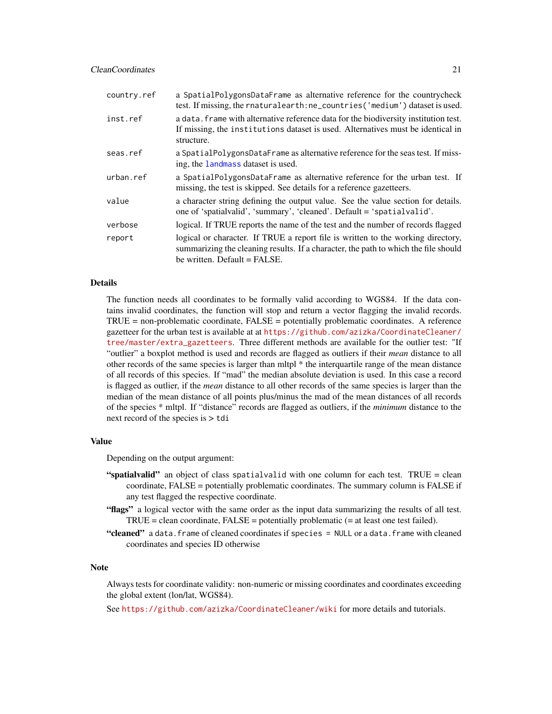<span id="page-20-0"></span>

| country.ref | a SpatialPolygonsDataFrame as alternative reference for the countrycheck<br>test. If missing, the rnaturalearth: ne_countries ('medium') dataset is used.                                                 |
|-------------|-----------------------------------------------------------------------------------------------------------------------------------------------------------------------------------------------------------|
| inst.ref    | a data. Frame with alternative reference data for the biodiversity institution test.<br>If missing, the institutions dataset is used. Alternatives must be identical in<br>structure.                     |
| seas.ref    | a SpatialPolygonsDataFrame as alternative reference for the seas test. If miss-<br>ing, the landmass dataset is used.                                                                                     |
| urban.ref   | a SpatialPolygonsDataFrame as alternative reference for the urban test. If<br>missing, the test is skipped. See details for a reference gazetteers.                                                       |
| value       | a character string defining the output value. See the value section for details.<br>one of 'spatialvalid', 'summary', 'cleaned'. Default = 'spatialvalid'.                                                |
| verbose     | logical. If TRUE reports the name of the test and the number of records flagged                                                                                                                           |
| report      | logical or character. If TRUE a report file is written to the working directory,<br>summarizing the cleaning results. If a character, the path to which the file should<br>be written. Default $=$ FALSE. |

### Details

The function needs all coordinates to be formally valid according to WGS84. If the data contains invalid coordinates, the function will stop and return a vector flagging the invalid records. TRUE = non-problematic coordinate, FALSE = potentially problematic coordinates. A reference gazetteer for the urban test is available at at [https://github.com/azizka/CoordinateCleaner/](https://github.com/azizka/CoordinateCleaner/tree/master/extra_gazetteers) [tree/master/extra\\_gazetteers](https://github.com/azizka/CoordinateCleaner/tree/master/extra_gazetteers). Three different methods are available for the outlier test: "If "outlier" a boxplot method is used and records are flagged as outliers if their *mean* distance to all other records of the same species is larger than mltpl \* the interquartile range of the mean distance of all records of this species. If "mad" the median absolute deviation is used. In this case a record is flagged as outlier, if the *mean* distance to all other records of the same species is larger than the median of the mean distance of all points plus/minus the mad of the mean distances of all records of the species \* mltpl. If "distance" records are flagged as outliers, if the *minimum* distance to the next record of the species is > tdi

### Value

Depending on the output argument:

- "spatialvalid" an object of class spatialvalid with one column for each test. TRUE = clean coordinate, FALSE = potentially problematic coordinates. The summary column is FALSE if any test flagged the respective coordinate.
- "flags" a logical vector with the same order as the input data summarizing the results of all test.  $TRUE = clean coordinate, FALSE = potentially problematic (= at least one test failed).$
- "cleaned" a data.frame of cleaned coordinates if species = NULL or a data.frame with cleaned coordinates and species ID otherwise

### Note

Always tests for coordinate validity: non-numeric or missing coordinates and coordinates exceeding the global extent (lon/lat, WGS84).

See <https://github.com/azizka/CoordinateCleaner/wiki> for more details and tutorials.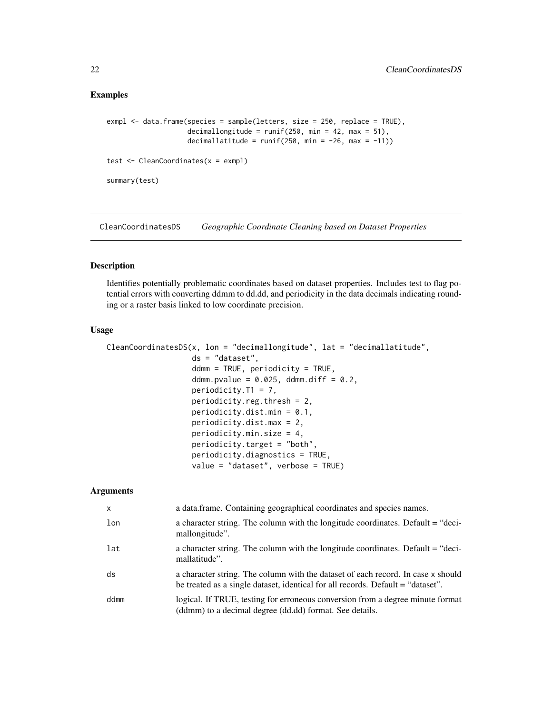### <span id="page-21-0"></span>Examples

```
exmpl <- data.frame(species = sample(letters, size = 250, replace = TRUE),
                    decimallongitude = runif(250, min = 42, max = 51),
                    decimallatitude = runif(250, min = -26, max = -11)test <- CleanCoordinates(x = exmpl)
summary(test)
```
CleanCoordinatesDS *Geographic Coordinate Cleaning based on Dataset Properties*

### Description

Identifies potentially problematic coordinates based on dataset properties. Includes test to flag potential errors with converting ddmm to dd.dd, and periodicity in the data decimals indicating rounding or a raster basis linked to low coordinate precision.

### Usage

```
CleanCoordinatesDS(x, lon = "decimallongitude", lat = "decimallatitude",
                   ds = "dataset",
                   ddmm = TRUE, periodicity = TRUE,
                   ddmm.pvalue = 0.025, ddmm.diff = 0.2,
                   periodicity.T1 = 7,
                   periodicity.reg.thresh = 2,
                   periodicity.dist.min = 0.1,
                   periodicity.dist.max = 2,
                   periodicity.min.size = 4,
                   periodicity.target = "both",
                   periodicity.diagnostics = TRUE,
                   value = "dataset", verbose = TRUE)
```

| $\mathsf{x}$ | a data.frame. Containing geographical coordinates and species names.                                                                                                |
|--------------|---------------------------------------------------------------------------------------------------------------------------------------------------------------------|
| lon          | a character string. The column with the longitude coordinates. Default = "deci-<br>mallongitude".                                                                   |
| lat          | a character string. The column with the longitude coordinates. Default = "deci-<br>mallatitude".                                                                    |
| ds           | a character string. The column with the dataset of each record. In case x should<br>be treated as a single dataset, identical for all records. Default = "dataset". |
| ddmm         | logical. If TRUE, testing for erroneous conversion from a degree minute format<br>(ddmm) to a decimal degree (dd.dd) format. See details.                           |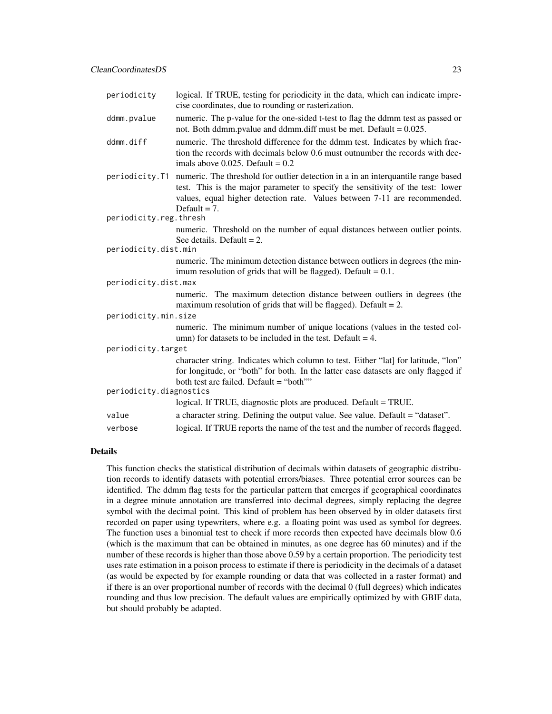| periodicity             | logical. If TRUE, testing for periodicity in the data, which can indicate impre-<br>cise coordinates, due to rounding or rasterization.                                                                                                                             |  |
|-------------------------|---------------------------------------------------------------------------------------------------------------------------------------------------------------------------------------------------------------------------------------------------------------------|--|
| ddmm.pvalue             | numeric. The p-value for the one-sided t-test to flag the ddmm test as passed or<br>not. Both ddmm.pvalue and ddmm.diff must be met. Default = 0.025.                                                                                                               |  |
| ddmm.diff               | numeric. The threshold difference for the ddmm test. Indicates by which frac-<br>tion the records with decimals below 0.6 must outnumber the records with dec-<br>imals above 0.025. Default = $0.2$                                                                |  |
| periodicity.T1          | numeric. The threshold for outlier detection in a in an interquantile range based<br>test. This is the major parameter to specify the sensitivity of the test: lower<br>values, equal higher detection rate. Values between 7-11 are recommended.<br>Default = $7.$ |  |
| periodicity.reg.thresh  |                                                                                                                                                                                                                                                                     |  |
|                         | numeric. Threshold on the number of equal distances between outlier points.                                                                                                                                                                                         |  |
|                         | See details. Default = $2$ .                                                                                                                                                                                                                                        |  |
| periodicity.dist.min    |                                                                                                                                                                                                                                                                     |  |
|                         | numeric. The minimum detection distance between outliers in degrees (the min-<br>imum resolution of grids that will be flagged). Default = $0.1$ .                                                                                                                  |  |
| periodicity.dist.max    |                                                                                                                                                                                                                                                                     |  |
|                         | numeric. The maximum detection distance between outliers in degrees (the<br>maximum resolution of grids that will be flagged). Default $= 2$ .                                                                                                                      |  |
| periodicity.min.size    |                                                                                                                                                                                                                                                                     |  |
|                         | numeric. The minimum number of unique locations (values in the tested col-<br>umn) for datasets to be included in the test. Default $=$ 4.                                                                                                                          |  |
| periodicity.target      |                                                                                                                                                                                                                                                                     |  |
|                         | character string. Indicates which column to test. Either "lat] for latitude, "lon"<br>for longitude, or "both" for both. In the latter case datasets are only flagged if<br>both test are failed. Default = "both""                                                 |  |
| periodicity.diagnostics |                                                                                                                                                                                                                                                                     |  |
|                         | logical. If TRUE, diagnostic plots are produced. Default = TRUE.                                                                                                                                                                                                    |  |
| value                   | a character string. Defining the output value. See value. Default = "dataset".                                                                                                                                                                                      |  |
| verbose                 | logical. If TRUE reports the name of the test and the number of records flagged.                                                                                                                                                                                    |  |

### Details

This function checks the statistical distribution of decimals within datasets of geographic distribution records to identify datasets with potential errors/biases. Three potential error sources can be identified. The ddmm flag tests for the particular pattern that emerges if geographical coordinates in a degree minute annotation are transferred into decimal degrees, simply replacing the degree symbol with the decimal point. This kind of problem has been observed by in older datasets first recorded on paper using typewriters, where e.g. a floating point was used as symbol for degrees. The function uses a binomial test to check if more records then expected have decimals blow 0.6 (which is the maximum that can be obtained in minutes, as one degree has 60 minutes) and if the number of these records is higher than those above 0.59 by a certain proportion. The periodicity test uses rate estimation in a poison process to estimate if there is periodicity in the decimals of a dataset (as would be expected by for example rounding or data that was collected in a raster format) and if there is an over proportional number of records with the decimal 0 (full degrees) which indicates rounding and thus low precision. The default values are empirically optimized by with GBIF data, but should probably be adapted.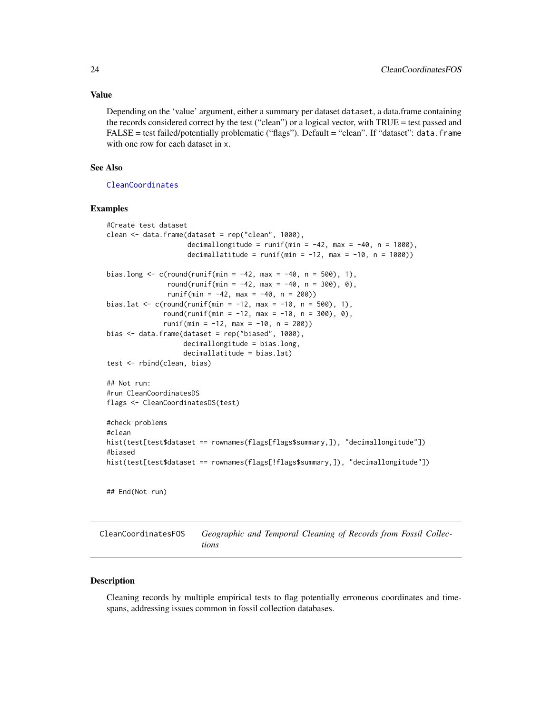### <span id="page-23-0"></span>Value

Depending on the 'value' argument, either a summary per dataset dataset, a data.frame containing the records considered correct by the test ("clean") or a logical vector, with TRUE = test passed and FALSE = test failed/potentially problematic ("flags"). Default = "clean". If "dataset": data.frame with one row for each dataset in x.

### See Also

[CleanCoordinates](#page-18-1)

### Examples

```
#Create test dataset
clean <- data.frame(dataset = rep("clean", 1000),
                    decimallongitude = runif(min = -42, max = -40, n = 1000),
                    decimallatitude = runif(min = -12, max = -10, n = 1000))
bias.long \leq c(round(runif(min = -42, max = -40, n = 500), 1),
               round(runif(min = -42, max = -40, n = 300), 0),
               runif(min = -42, max = -40, n = 200))
bias.lat <- c(round(runif(min = -12, max = -10, n = 500), 1),
              round(runif(min = -12, max = -10, n = 300), 0),
              runif(min = -12, max = -10, n = 200))
bias \leq data.frame(dataset = rep("biased", 1000),
                   decimallongitude = bias.long,
                   decimallatitude = bias.lat)
test <- rbind(clean, bias)
## Not run:
#run CleanCoordinatesDS
flags <- CleanCoordinatesDS(test)
#check problems
#clean
hist(test[test$dataset == rownames(flags[flags$summary,]), "decimallongitude"])
#biased
hist(test[test$dataset == rownames(flags[!flags$summary,]), "decimallongitude"])
## End(Not run)
```
CleanCoordinatesFOS *Geographic and Temporal Cleaning of Records from Fossil Collections*

### Description

Cleaning records by multiple empirical tests to flag potentially erroneous coordinates and timespans, addressing issues common in fossil collection databases.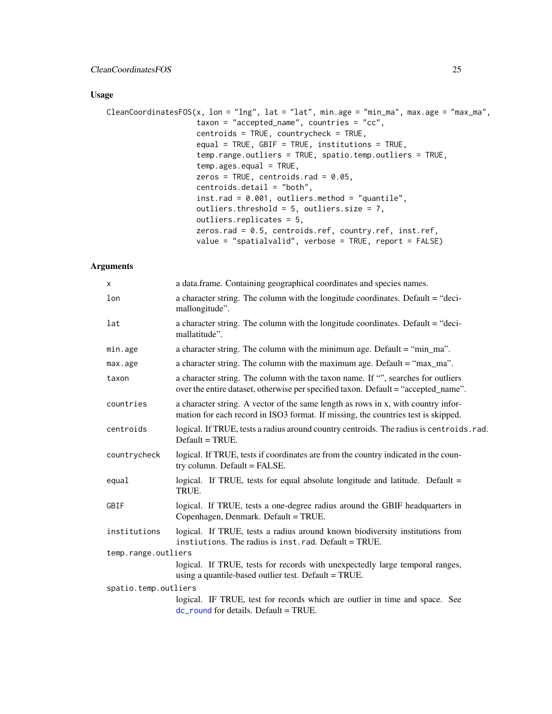### <span id="page-24-0"></span>Usage

```
CleanCoordinatesFOS(x, lon = "lng", lat = "lat", min.age = "min_ma", max.age = "max_ma",
                    taxon = "accepted_name", countries = "cc",
                    centroids = TRUE, countrycheck = TRUE,
                    equal = TRUE, GBIF = TRUE, institutions = TRUE,
                    temp.range.outliers = TRUE, spatio.temp.outliers = TRUE,
                    temp \cdot ages \cdot equal = TRUE,zeros = TRUE, centroids.rad = 0.05,
                    centroids.detail = "both",
                    inst.rad = 0.001, outliers.method = "quantile",
                    outliers.threshold = 5, outliers.size = 7,
                    outliers.replicates = 5,
                    zeros.rad = 0.5, centroids.ref, country.ref, inst.ref,
                    value = "spatialvalid", verbose = TRUE, report = FALSE)
```

| logical. If TRUE, tests a radius around country centroids. The radius is centroids. rad.            |  |  |
|-----------------------------------------------------------------------------------------------------|--|--|
|                                                                                                     |  |  |
|                                                                                                     |  |  |
|                                                                                                     |  |  |
|                                                                                                     |  |  |
| temp.range.outliers<br>logical. If TRUE, tests for records with unexpectedly large temporal ranges, |  |  |
|                                                                                                     |  |  |
| spatio.temp.outliers<br>logical. IF TRUE, test for records which are outlier in time and space. See |  |  |
|                                                                                                     |  |  |
|                                                                                                     |  |  |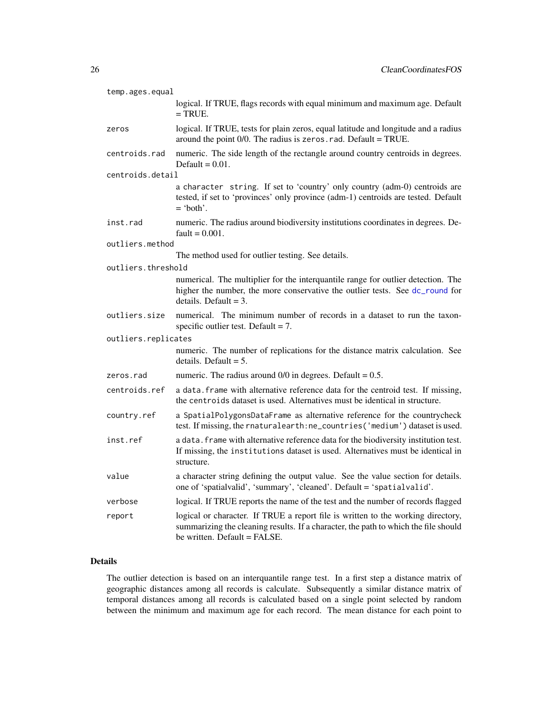<span id="page-25-0"></span>

| temp.ages.equal     |                                                                                                                                                                                                         |
|---------------------|---------------------------------------------------------------------------------------------------------------------------------------------------------------------------------------------------------|
|                     | logical. If TRUE, flags records with equal minimum and maximum age. Default<br>$=$ TRUE.                                                                                                                |
| zeros               | logical. If TRUE, tests for plain zeros, equal latitude and longitude and a radius<br>around the point $0/0$ . The radius is zeros. rad. Default = TRUE.                                                |
| centroids.rad       | numeric. The side length of the rectangle around country centroids in degrees.<br>Default = $0.01$ .                                                                                                    |
| centroids.detail    |                                                                                                                                                                                                         |
|                     | a character string. If set to 'country' only country (adm-0) centroids are<br>tested, if set to 'provinces' only province (adm-1) centroids are tested. Default<br>$=$ 'both'.                          |
| inst.rad            | numeric. The radius around biodiversity institutions coordinates in degrees. De-<br>$fault = 0.001$ .                                                                                                   |
| outliers.method     |                                                                                                                                                                                                         |
|                     | The method used for outlier testing. See details.                                                                                                                                                       |
| outliers.threshold  |                                                                                                                                                                                                         |
|                     | numerical. The multiplier for the interquantile range for outlier detection. The<br>higher the number, the more conservative the outlier tests. See dc_round for<br>details. Default $=$ 3.             |
| outliers.size       | numerical. The minimum number of records in a dataset to run the taxon-<br>specific outlier test. Default = $7$ .                                                                                       |
| outliers.replicates |                                                                                                                                                                                                         |
|                     | numeric. The number of replications for the distance matrix calculation. See<br>details. Default $= 5$ .                                                                                                |
| zeros.rad           | numeric. The radius around $0/0$ in degrees. Default = 0.5.                                                                                                                                             |
| centroids.ref       | a data. frame with alternative reference data for the centroid test. If missing,<br>the centroids dataset is used. Alternatives must be identical in structure.                                         |
| country.ref         | a SpatialPolygonsDataFrame as alternative reference for the countrycheck<br>test. If missing, the rnaturalearth: ne_countries ('medium') dataset is used.                                               |
| inst.ref            | a data. frame with alternative reference data for the biodiversity institution test.<br>If missing, the institutions dataset is used. Alternatives must be identical in<br>structure.                   |
| value               | a character string defining the output value. See the value section for details.<br>one of 'spatialvalid', 'summary', 'cleaned'. Default = 'spatialvalid'.                                              |
| verbose             | logical. If TRUE reports the name of the test and the number of records flagged                                                                                                                         |
| report              | logical or character. If TRUE a report file is written to the working directory,<br>summarizing the cleaning results. If a character, the path to which the file should<br>he written. Default = FALSE. |

### Details

The outlier detection is based on an interquantile range test. In a first step a distance matrix of geographic distances among all records is calculate. Subsequently a similar distance matrix of temporal distances among all records is calculated based on a single point selected by random between the minimum and maximum age for each record. The mean distance for each point to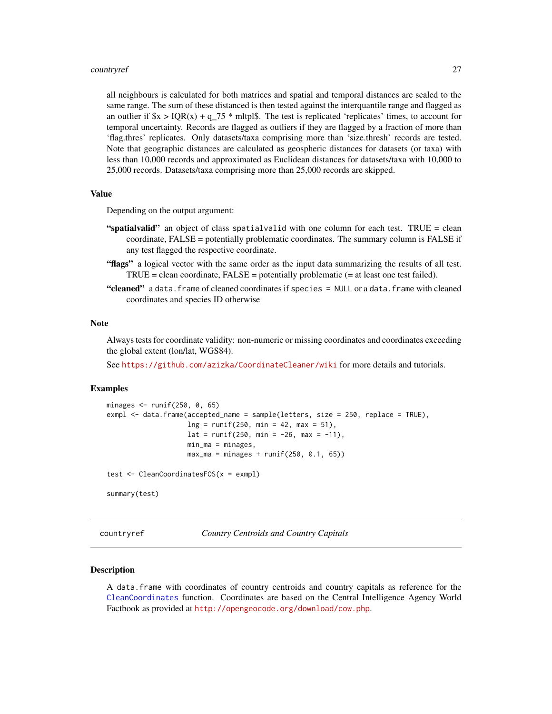### <span id="page-26-0"></span>countryref 27

all neighbours is calculated for both matrices and spatial and temporal distances are scaled to the same range. The sum of these distanced is then tested against the interquantile range and flagged as an outlier if  $x > IQR(x) + q$  75 \* mltpl\$. The test is replicated 'replicates' times, to account for temporal uncertainty. Records are flagged as outliers if they are flagged by a fraction of more than 'flag.thres' replicates. Only datasets/taxa comprising more than 'size.thresh' records are tested. Note that geographic distances are calculated as geospheric distances for datasets (or taxa) with less than 10,000 records and approximated as Euclidean distances for datasets/taxa with 10,000 to 25,000 records. Datasets/taxa comprising more than 25,000 records are skipped.

### Value

Depending on the output argument:

- "spatialvalid" an object of class spatialvalid with one column for each test. TRUE = clean coordinate, FALSE = potentially problematic coordinates. The summary column is FALSE if any test flagged the respective coordinate.
- "flags" a logical vector with the same order as the input data summarizing the results of all test. TRUE = clean coordinate, FALSE = potentially problematic (= at least one test failed).
- "cleaned" a data.frame of cleaned coordinates if species = NULL or a data.frame with cleaned coordinates and species ID otherwise

### Note

Always tests for coordinate validity: non-numeric or missing coordinates and coordinates exceeding the global extent (lon/lat, WGS84).

See <https://github.com/azizka/CoordinateCleaner/wiki> for more details and tutorials.

### Examples

```
minages <- runif(250, 0, 65)
exmpl <- data.frame(accepted_name = sample(letters, size = 250, replace = TRUE),
                    ln g = runif(250, min = 42, max = 51),lat = runif(250, min = -26, max = -11),min_m = minages,max_{ma} = minages + runif(250, 0.1, 65))test <- CleanCoordinatesFOS(x = exmpl)
summary(test)
```
<span id="page-26-1"></span>countryref *Country Centroids and Country Capitals*

### Description

A data.frame with coordinates of country centroids and country capitals as reference for the [CleanCoordinates](#page-18-1) function. Coordinates are based on the Central Intelligence Agency World Factbook as provided at <http://opengeocode.org/download/cow.php>.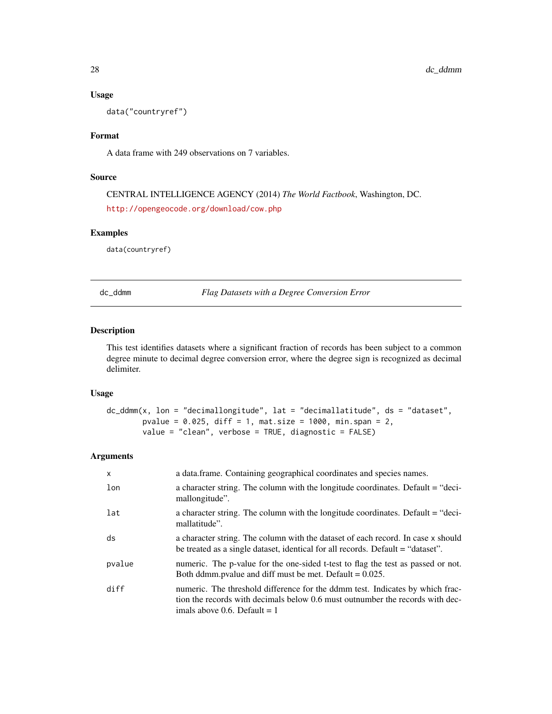### Usage

data("countryref")

### Format

A data frame with 249 observations on 7 variables.

### Source

CENTRAL INTELLIGENCE AGENCY (2014) *The World Factbook*, Washington, DC. <http://opengeocode.org/download/cow.php>

### Examples

data(countryref)

dc\_ddmm *Flag Datasets with a Degree Conversion Error*

### Description

This test identifies datasets where a significant fraction of records has been subject to a common degree minute to decimal degree conversion error, where the degree sign is recognized as decimal delimiter.

### Usage

```
dc_ddmm(x, lon = "decimallongitude", lat = "decimallatitude", ds = "dataset",
       pvalue = 0.025, diff = 1, mat.size = 1000, min.span = 2,
       value = "clean", verbose = TRUE, diagnostic = FALSE)
```

| $\mathsf{x}$ | a data frame. Containing geographical coordinates and species names.                                                                                                                             |
|--------------|--------------------------------------------------------------------------------------------------------------------------------------------------------------------------------------------------|
| lon          | a character string. The column with the longitude coordinates. Default = "deci-<br>mallongitude".                                                                                                |
| lat          | a character string. The column with the longitude coordinates. Default = "deci-<br>mallatitude".                                                                                                 |
| ds           | a character string. The column with the dataset of each record. In case x should<br>be treated as a single dataset, identical for all records. Default = "dataset".                              |
| pvalue       | numeric. The p-value for the one-sided t-test to flag the test as passed or not.<br>Both ddmm.pvalue and diff must be met. Default $= 0.025$ .                                                   |
| diff         | numeric. The threshold difference for the ddmm test. Indicates by which frac-<br>tion the records with decimals below 0.6 must outnumber the records with dec-<br>imals above 0.6. Default $= 1$ |

<span id="page-27-0"></span>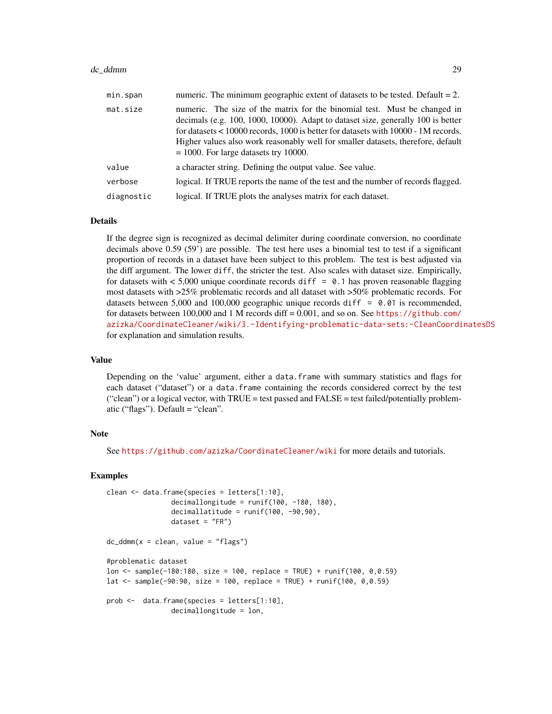### dc\_ddmm 29

| min.span   | numeric. The minimum geographic extent of datasets to be tested. Default $= 2$ .                                                                                                                                                                                                                                                                                                    |
|------------|-------------------------------------------------------------------------------------------------------------------------------------------------------------------------------------------------------------------------------------------------------------------------------------------------------------------------------------------------------------------------------------|
| mat.size   | numeric. The size of the matrix for the binomial test. Must be changed in<br>decimals (e.g. 100, 1000, 10000). Adapt to dataset size, generally 100 is better<br>for datasets < 10000 records, 1000 is better for datasets with 10000 - 1M records.<br>Higher values also work reasonably well for smaller datasets, therefore, default<br>$= 1000$ . For large datasets try 10000. |
| value      | a character string. Defining the output value. See value.                                                                                                                                                                                                                                                                                                                           |
| verbose    | logical. If TRUE reports the name of the test and the number of records flagged.                                                                                                                                                                                                                                                                                                    |
| diagnostic | logical. If TRUE plots the analyses matrix for each dataset.                                                                                                                                                                                                                                                                                                                        |

#### Details

If the degree sign is recognized as decimal delimiter during coordinate conversion, no coordinate decimals above 0.59 (59') are possible. The test here uses a binomial test to test if a significant proportion of records in a dataset have been subject to this problem. The test is best adjusted via the diff argument. The lower diff, the stricter the test. Also scales with dataset size. Empirically, for datasets with  $< 5,000$  unique coordinate records diff = 0.1 has proven reasonable flagging most datasets with >25% problematic records and all dataset with >50% problematic records. For datasets between 5,000 and 100,000 geographic unique records diff  $= 0.01$  is recommended, for datasets between 100,000 and 1 M records diff =  $0.001$ , and so on. See [https://github.com/](https://github.com/azizka/CoordinateCleaner/wiki/3.-Identifying-problematic-data-sets:-CleanCoordinatesDS) [azizka/CoordinateCleaner/wiki/3.-Identifying-problematic-data-sets:-CleanCoordinatesDS](https://github.com/azizka/CoordinateCleaner/wiki/3.-Identifying-problematic-data-sets:-CleanCoordinatesDS) for explanation and simulation results.

### Value

Depending on the 'value' argument, either a data.frame with summary statistics and flags for each dataset ("dataset") or a data.frame containing the records considered correct by the test ("clean") or a logical vector, with  $TRUE = test$  passed and  $FALSE = test$  failed/potentially problematic ("flags"). Default = "clean".

### Note

See <https://github.com/azizka/CoordinateCleaner/wiki> for more details and tutorials.

### Examples

```
clean <- data.frame(species = letters[1:10],
                decimallongitude = runif(100, -180, 180),
                decimallatitude = runif(100, -90, 90),
                dataset = "FR")
dc_ddmm(x = clean, value = "flags")#problematic dataset
lon <- sample(-180:180, size = 100, replace = TRUE) + runif(100, 0,0.59)
lat \le sample(-90:90, size = 100, replace = TRUE) + runif(100, 0,0.59)
prob <- data.frame(species = letters[1:10],
                decimallongitude = lon,
```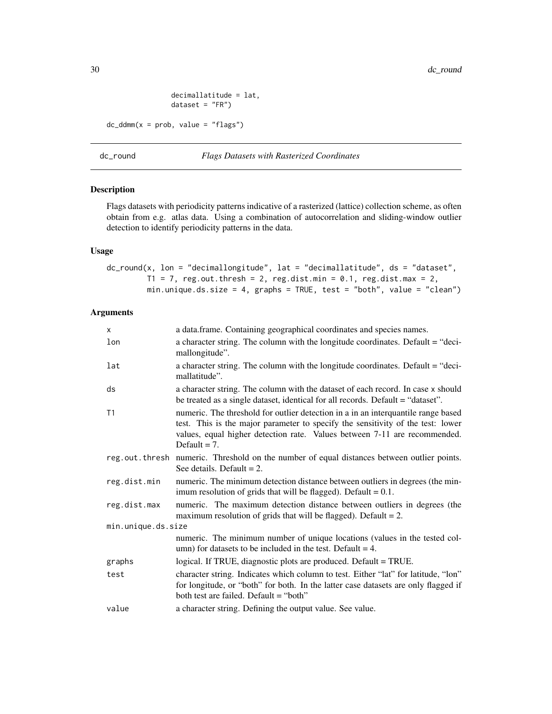```
decimallatitude = lat,
                dataset = "FR")dc\_ddmm(x = prob, value = "flags")
```
### <span id="page-29-1"></span>dc\_round *Flags Datasets with Rasterized Coordinates*

### Description

Flags datasets with periodicity patterns indicative of a rasterized (lattice) collection scheme, as often obtain from e.g. atlas data. Using a combination of autocorrelation and sliding-window outlier detection to identify periodicity patterns in the data.

### Usage

 $dc_{round}(x, \text{lon} = "decimallongitude", \text{lat} = "decimallatitude", \text{ds} = "dataset",$  $T1 = 7$ , reg.out.thresh = 2, reg.dist.min = 0.1, reg.dist.max = 2, min.unique.ds.size = 4, graphs = TRUE, test = "both", value = "clean")

| $\times$           | a data.frame. Containing geographical coordinates and species names.                                                                                                                                                                                                 |  |
|--------------------|----------------------------------------------------------------------------------------------------------------------------------------------------------------------------------------------------------------------------------------------------------------------|--|
| lon                | a character string. The column with the longitude coordinates. Default = "deci-<br>mallongitude".                                                                                                                                                                    |  |
| lat                | a character string. The column with the longitude coordinates. Default = "deci-<br>mallatitude".                                                                                                                                                                     |  |
| ds                 | a character string. The column with the dataset of each record. In case x should<br>be treated as a single dataset, identical for all records. Default = "dataset".                                                                                                  |  |
| T1                 | numeric. The threshold for outlier detection in a in an interquantile range based<br>test. This is the major parameter to specify the sensitivity of the test: lower<br>values, equal higher detection rate. Values between 7-11 are recommended.<br>Default $= 7$ . |  |
|                    | reg.out.thresh numeric. Threshold on the number of equal distances between outlier points.<br>See details. Default $= 2$ .                                                                                                                                           |  |
| reg.dist.min       | numeric. The minimum detection distance between outliers in degrees (the min-<br>imum resolution of grids that will be flagged). Default = $0.1$ .                                                                                                                   |  |
| reg.dist.max       | numeric. The maximum detection distance between outliers in degrees (the<br>maximum resolution of grids that will be flagged). Default $= 2$ .                                                                                                                       |  |
| min.unique.ds.size |                                                                                                                                                                                                                                                                      |  |
|                    | numeric. The minimum number of unique locations (values in the tested col-<br>umn) for datasets to be included in the test. Default $=$ 4.                                                                                                                           |  |
| graphs             | logical. If TRUE, diagnostic plots are produced. Default = TRUE.                                                                                                                                                                                                     |  |
| test               | character string. Indicates which column to test. Either "lat" for latitude, "lon"<br>for longitude, or "both" for both. In the latter case datasets are only flagged if<br>both test are failed. Default = "both"                                                   |  |
| value              | a character string. Defining the output value. See value.                                                                                                                                                                                                            |  |
|                    |                                                                                                                                                                                                                                                                      |  |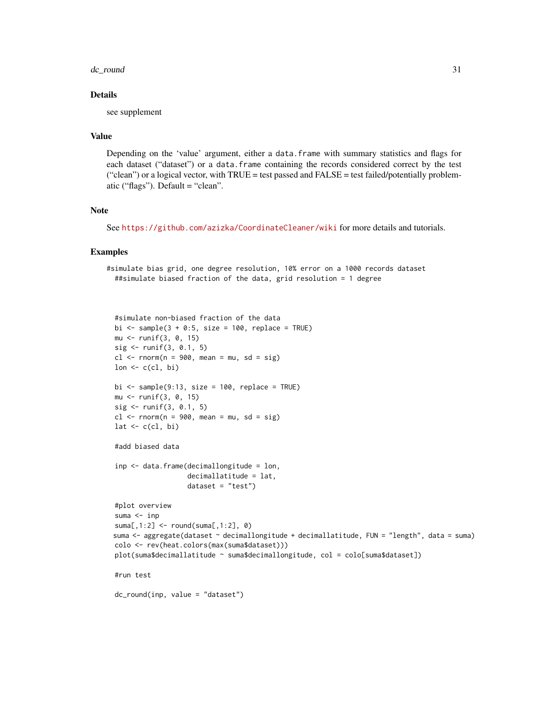### dc\_round 31

### Details

see supplement

### Value

Depending on the 'value' argument, either a data.frame with summary statistics and flags for each dataset ("dataset") or a data.frame containing the records considered correct by the test ("clean") or a logical vector, with TRUE = test passed and FALSE = test failed/potentially problematic ("flags"). Default = "clean".

### Note

See <https://github.com/azizka/CoordinateCleaner/wiki> for more details and tutorials.

### Examples

```
#simulate bias grid, one degree resolution, 10% error on a 1000 records dataset
 ##simulate biased fraction of the data, grid resolution = 1 degree
```

```
#simulate non-biased fraction of the data
bi \le sample(3 + 0:5, size = 100, replace = TRUE)
mu <- runif(3, 0, 15)
sig <- runif(3, 0.1, 5)
cl <- rnorm(n = 900, mean = mu, sd = sig)
lon \leftarrow c(cl, bi)
bi \le sample(9:13, size = 100, replace = TRUE)
mu <- runif(3, 0, 15)
sig <- runif(3, 0.1, 5)
cl \leq -rnorm(n = 900, mean = mu, sd = sig)lat \leftarrow c(cl, bi)#add biased data
inp <- data.frame(decimallongitude = lon,
                   decimallatitude = lat,
                   dataset = "test")
#plot overview
suma <- inp
suma[,1:2] <- round(suma[,1:2], 0)
suma <- aggregate(dataset ~ decimallongitude + decimallatitude, FUN = "length", data = suma)
colo <- rev(heat.colors(max(suma$dataset)))
plot(suma$decimallatitude ~ suma$decimallongitude, col = colo[suma$dataset])
#run test
dc_round(inp, value = "dataset")
```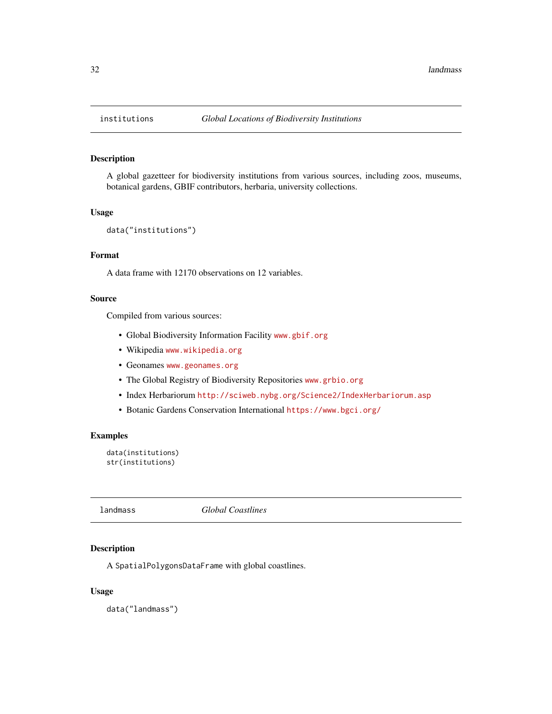### Description

A global gazetteer for biodiversity institutions from various sources, including zoos, museums, botanical gardens, GBIF contributors, herbaria, university collections.

### Usage

```
data("institutions")
```
### Format

A data frame with 12170 observations on 12 variables.

### Source

Compiled from various sources:

- Global Biodiversity Information Facility <www.gbif.org>
- Wikipedia <www.wikipedia.org>
- Geonames <www.geonames.org>
- The Global Registry of Biodiversity Repositories <www.grbio.org>
- Index Herbariorum <http://sciweb.nybg.org/Science2/IndexHerbariorum.asp>
- Botanic Gardens Conservation International <https://www.bgci.org/>

### Examples

```
data(institutions)
str(institutions)
```
<span id="page-31-2"></span>landmass *Global Coastlines*

### Description

A SpatialPolygonsDataFrame with global coastlines.

### Usage

data("landmass")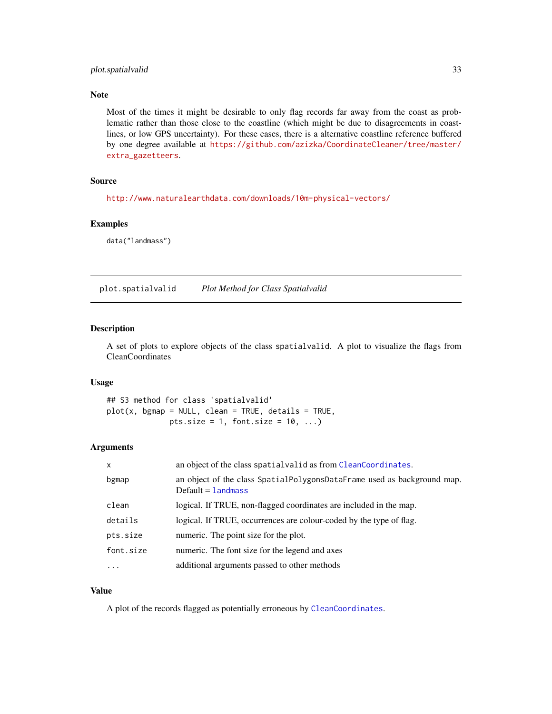### <span id="page-32-0"></span>plot.spatialvalid 33

### Note

Most of the times it might be desirable to only flag records far away from the coast as problematic rather than those close to the coastline (which might be due to disagreements in coastlines, or low GPS uncertainty). For these cases, there is a alternative coastline reference buffered by one degree available at [https://github.com/azizka/CoordinateCleaner/tree/master/](https://github.com/azizka/CoordinateCleaner/tree/master/extra_gazetteers) [extra\\_gazetteers](https://github.com/azizka/CoordinateCleaner/tree/master/extra_gazetteers).

### Source

<http://www.naturalearthdata.com/downloads/10m-physical-vectors/>

### Examples

data("landmass")

plot.spatialvalid *Plot Method for Class Spatialvalid*

### Description

A set of plots to explore objects of the class spatialvalid. A plot to visualize the flags from CleanCoordinates

### Usage

## S3 method for class 'spatialvalid'  $plot(x, bgmap = NULL, clean = TRUE, details = TRUE,$ pts.size = 1, font.size =  $10, ...$ )

### Arguments

| $\mathsf{x}$ | an object of the class spatialvalid as from CleanCoordinates.                                     |
|--------------|---------------------------------------------------------------------------------------------------|
| bgmap        | an object of the class SpatialPolygonsDataFrame used as background map.<br>$Default =$ 1 and mass |
| clean        | logical. If TRUE, non-flagged coordinates are included in the map.                                |
| details      | logical. If TRUE, occurrences are colour-coded by the type of flag.                               |
| pts.size     | numeric. The point size for the plot.                                                             |
| font.size    | numeric. The font size for the legend and axes                                                    |
| $\ddotsc$    | additional arguments passed to other methods                                                      |

### Value

A plot of the records flagged as potentially erroneous by [CleanCoordinates](#page-18-1).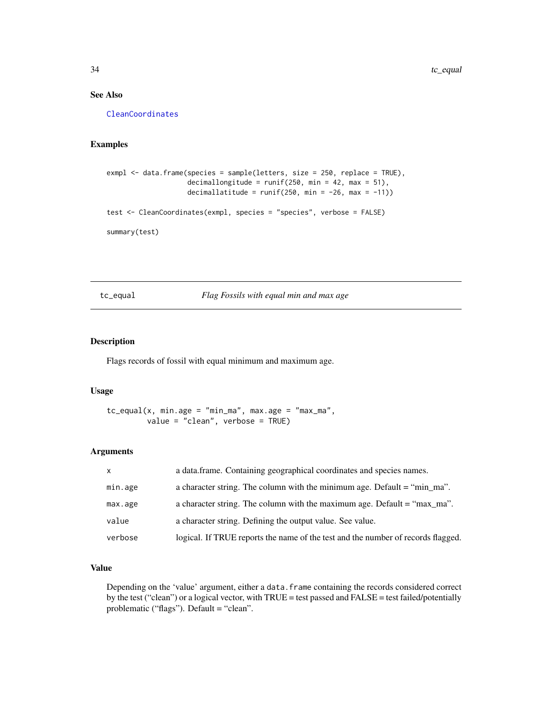### See Also

[CleanCoordinates](#page-18-1)

### Examples

```
exmpl <- data.frame(species = sample(letters, size = 250, replace = TRUE),
                    decimallongitude = runif(250, min = 42, max = 51),
                    decimallatitude = runif(250, min = -26, max = -11))test <- CleanCoordinates(exmpl, species = "species", verbose = FALSE)
summary(test)
```
tc\_equal *Flag Fossils with equal min and max age*

### Description

Flags records of fossil with equal minimum and maximum age.

### Usage

```
tc_equal(x, min.age = "min_m', max.age = "max_m',value = "clean", verbose = TRUE)
```
### Arguments

| $\mathsf{x}$ | a data.frame. Containing geographical coordinates and species names.                     |
|--------------|------------------------------------------------------------------------------------------|
| min.age      | a character string. The column with the minimum age. Default $=$ "min $_{\text{max}}$ ". |
| max.age      | a character string. The column with the maximum age. Default $=$ "max ma".               |
| value        | a character string. Defining the output value. See value.                                |
| verbose      | logical. If TRUE reports the name of the test and the number of records flagged.         |

### Value

Depending on the 'value' argument, either a data.frame containing the records considered correct by the test ("clean") or a logical vector, with TRUE = test passed and FALSE = test failed/potentially problematic ("flags"). Default = "clean".

<span id="page-33-0"></span>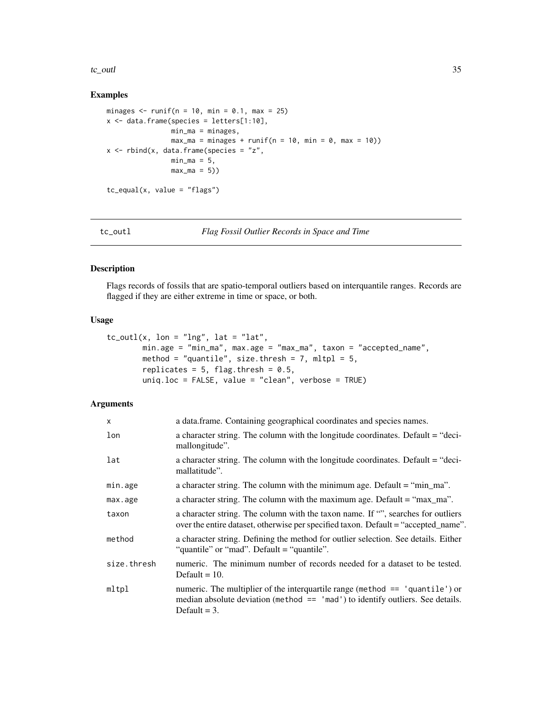### <span id="page-34-0"></span>tc\_outl 35

### Examples

```
minages \le runif(n = 10, min = 0.1, max = 25)
x \le - data.frame(species = letters[1:10],
                min_ma = minages,
                max_m = minages + runif(n = 10, min = 0, max = 10)x \le - rbind(x, data.frame(species = "z",
               min_m = 5,
                max_m = 5)tc_equal(x, value = "flags")
```

```
tc_outl Flag Fossil Outlier Records in Space and Time
```
### Description

Flags records of fossils that are spatio-temporal outliers based on interquantile ranges. Records are flagged if they are either extreme in time or space, or both.

### Usage

```
tc_outl(x, lon = "Ing", lat = "lat",min.age = "min_ma", max.age = "max_ma", taxon = "accepted_name",
       method = "quantile", size.thresh = 7, mltpl = 5,
       replicates = 5, flag.thresh = 0.5,
       uniq.loc = FALSE, value = "clean", verbose = TRUE)
```

| X           | a data.frame. Containing geographical coordinates and species names.                                                                                                                 |
|-------------|--------------------------------------------------------------------------------------------------------------------------------------------------------------------------------------|
| lon         | a character string. The column with the longitude coordinates. Default = "deci-<br>mallongitude".                                                                                    |
| lat         | a character string. The column with the longitude coordinates. Default = "deci-<br>mallatitude".                                                                                     |
| min.age     | a character string. The column with the minimum age. Default = "min_ma".                                                                                                             |
| max.age     | a character string. The column with the maximum age. Default = "max_ma".                                                                                                             |
| taxon       | a character string. The column with the taxon name. If "", searches for outliers<br>over the entire dataset, otherwise per specified taxon. Default = "accepted_name".               |
| method      | a character string. Defining the method for outlier selection. See details. Either<br>"quantile" or "mad". Default = "quantile".                                                     |
| size.thresh | numeric. The minimum number of records needed for a dataset to be tested.<br>Default $= 10$ .                                                                                        |
| mltpl       | numeric. The multiplier of the interquartile range (method $==$ 'quantile') or<br>median absolute deviation (method $==$ 'mad') to identify outliers. See details.<br>Default $=$ 3. |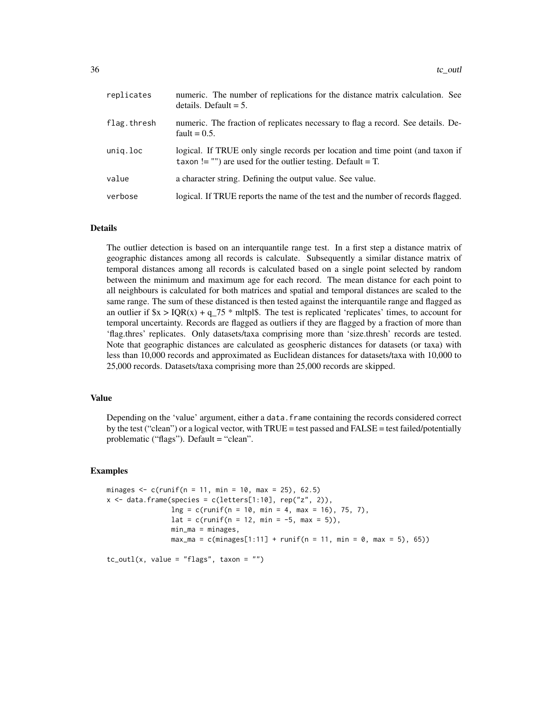| replicates  | numeric. The number of replications for the distance matrix calculation. See<br>details. Default $= 5$ .                                                      |
|-------------|---------------------------------------------------------------------------------------------------------------------------------------------------------------|
| flag.thresh | numeric. The fraction of replicates necessary to flag a record. See details. De-<br>fault = $0.5$ .                                                           |
| unig.loc    | logical. If TRUE only single records per location and time point (and taxon if<br>taxon != $\cdot\cdot\cdot$ ) are used for the outlier testing. Default = T. |
| value       | a character string. Defining the output value. See value.                                                                                                     |
| verbose     | logical. If TRUE reports the name of the test and the number of records flagged.                                                                              |

### Details

The outlier detection is based on an interquantile range test. In a first step a distance matrix of geographic distances among all records is calculate. Subsequently a similar distance matrix of temporal distances among all records is calculated based on a single point selected by random between the minimum and maximum age for each record. The mean distance for each point to all neighbours is calculated for both matrices and spatial and temporal distances are scaled to the same range. The sum of these distanced is then tested against the interquantile range and flagged as an outlier if  $x > IQR(x) + q_75$  \* mltpl\$. The test is replicated 'replicates' times, to account for temporal uncertainty. Records are flagged as outliers if they are flagged by a fraction of more than 'flag.thres' replicates. Only datasets/taxa comprising more than 'size.thresh' records are tested. Note that geographic distances are calculated as geospheric distances for datasets (or taxa) with less than 10,000 records and approximated as Euclidean distances for datasets/taxa with 10,000 to 25,000 records. Datasets/taxa comprising more than 25,000 records are skipped.

### Value

Depending on the 'value' argument, either a data.frame containing the records considered correct by the test ("clean") or a logical vector, with TRUE = test passed and FALSE = test failed/potentially problematic ("flags"). Default = "clean".

### Examples

```
minages \leq c(runif(n = 11, min = 10, max = 25), 62.5)
x \le - data.frame(species = c(letters[1:10], rep("z", 2)),
                ln g = c(runif(n = 10, min = 4, max = 16), 75, 7),lat = c(runif(n = 12, min = -5, max = 5)),min_ma = minages,
                max_{ma} = c(minages[1:11] + runif(n = 11, min = 0, max = 5), 65))tc_outl(x, value = "flags", taxon = "")
```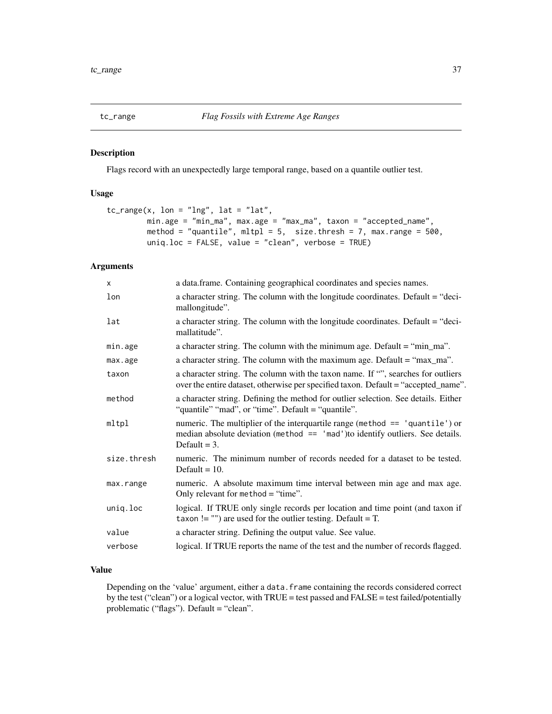<span id="page-36-0"></span>

### Description

Flags record with an unexpectedly large temporal range, based on a quantile outlier test.

### Usage

```
tc_range(x, \text{lon} = "Ing", \text{lat} = "lat",min.age = "min_ma", max.age = "max_ma", taxon = "accepted_name",
         method = "quantile", mltpl = 5, size.thresh = 7, max.range = 500,
         uniq.loc = FALSE, value = "clean", verbose = TRUE)
```
### Arguments

| $\times$    | a data.frame. Containing geographical coordinates and species names.                                                                                                                 |
|-------------|--------------------------------------------------------------------------------------------------------------------------------------------------------------------------------------|
| lon         | a character string. The column with the longitude coordinates. Default = "deci-<br>mallongitude".                                                                                    |
| lat         | a character string. The column with the longitude coordinates. Default = "deci-<br>mallatitude".                                                                                     |
| min.age     | a character string. The column with the minimum age. Default = "min_ma".                                                                                                             |
| max.age     | a character string. The column with the maximum age. Default = "max_ma".                                                                                                             |
| taxon       | a character string. The column with the taxon name. If "", searches for outliers<br>over the entire dataset, otherwise per specified taxon. Default = "accepted_name".               |
| method      | a character string. Defining the method for outlier selection. See details. Either<br>"quantile" "mad", or "time". Default = "quantile".                                             |
| mltpl       | numeric. The multiplier of the interquartile range (method $==$ 'quantile') or<br>median absolute deviation (method $==$ 'mad') to identify outliers. See details.<br>Default $=$ 3. |
| size.thresh | numeric. The minimum number of records needed for a dataset to be tested.<br>Default $= 10$ .                                                                                        |
| max.range   | numeric. A absolute maximum time interval between min age and max age.<br>Only relevant for method = "time".                                                                         |
| uniq.loc    | logical. If TRUE only single records per location and time point (and taxon if<br>taxon != "") are used for the outlier testing. Default = $T$ .                                     |
| value       | a character string. Defining the output value. See value.                                                                                                                            |
| verbose     | logical. If TRUE reports the name of the test and the number of records flagged.                                                                                                     |

### Value

Depending on the 'value' argument, either a data.frame containing the records considered correct by the test ("clean") or a logical vector, with TRUE = test passed and FALSE = test failed/potentially problematic ("flags"). Default = "clean".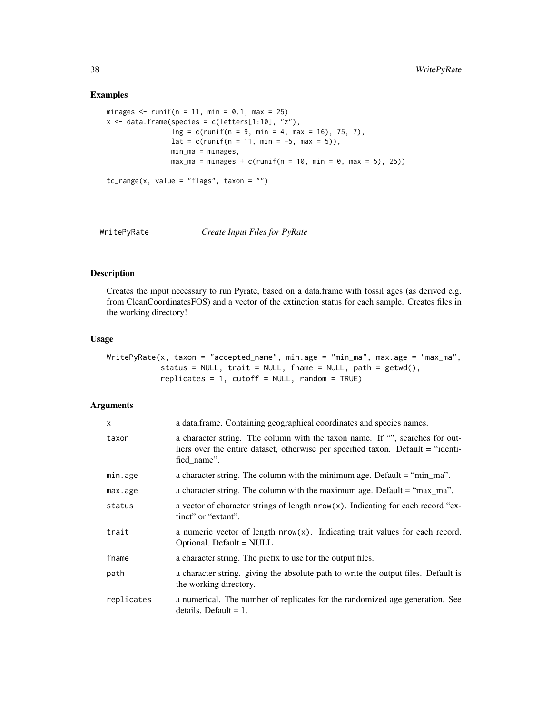### Examples

```
minages \le runif(n = 11, min = 0.1, max = 25)
x \le - data.frame(species = c(letters[1:10], "z"),
                ln g = c(runif(n = 9, min = 4, max = 16), 75, 7),lat = c(runif(n = 11, min = -5, max = 5)),min_ma = minages,
                max_{ma} = minages + c(runif(n = 10, min = 0, max = 5), 25)tc_range(x, value = "flags", taxon = "")
```
WritePyRate *Create Input Files for PyRate*

### Description

Creates the input necessary to run Pyrate, based on a data.frame with fossil ages (as derived e.g. from CleanCoordinatesFOS) and a vector of the extinction status for each sample. Creates files in the working directory!

### Usage

WritePyRate(x, taxon = "accepted\_name", min.age = "min\_ma", max.age = "max\_ma", status = NULL, trait = NULL, fname = NULL, path =  $getwd()$ ,  $replicates = 1$ ,  $cutoff = NULL$ ,  $random = TRUE$ )

| x          | a data.frame. Containing geographical coordinates and species names.                                                                                                            |
|------------|---------------------------------------------------------------------------------------------------------------------------------------------------------------------------------|
| taxon      | a character string. The column with the taxon name. If "", searches for out-<br>liers over the entire dataset, otherwise per specified taxon. Default = "identi-<br>fied_name". |
| min.age    | a character string. The column with the minimum age. Default = "min_ma".                                                                                                        |
| max.age    | a character string. The column with the maximum age. Default = "max_ma".                                                                                                        |
| status     | a vector of character strings of length $nrow(x)$ . Indicating for each record "ex-<br>tinct" or "extant".                                                                      |
| trait      | a numeric vector of length $nrow(x)$ . Indicating trait values for each record.<br>Optional. Default = NULL.                                                                    |
| fname      | a character string. The prefix to use for the output files.                                                                                                                     |
| path       | a character string, giving the absolute path to write the output files. Default is<br>the working directory.                                                                    |
| replicates | a numerical. The number of replicates for the randomized age generation. See<br>details. Default $= 1$ .                                                                        |

<span id="page-37-0"></span>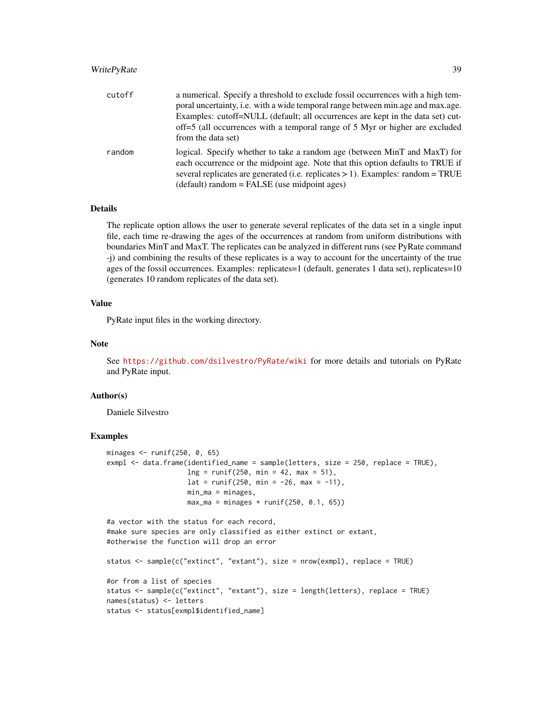### WritePyRate 39

| cutoff | a numerical. Specify a threshold to exclude fossil occurrences with a high tem-                                                                                                                                                                   |
|--------|---------------------------------------------------------------------------------------------------------------------------------------------------------------------------------------------------------------------------------------------------|
|        | poral uncertainty, i.e. with a wide temporal range between min.age and max.age.                                                                                                                                                                   |
|        | Examples: cutoff=NULL (default; all occurrences are kept in the data set) cut-                                                                                                                                                                    |
|        | off=5 (all occurrences with a temporal range of 5 Myr or higher are excluded<br>from the data set)                                                                                                                                                |
| random | logical. Specify whether to take a random age (between MinT and MaxT) for<br>each occurrence or the midpoint age. Note that this option defaults to TRUE if<br>several replicates are generated (i.e. replicates $> 1$ ). Examples: random = TRUE |
|        | (default) random = FALSE (use midpoint ages)                                                                                                                                                                                                      |

### Details

The replicate option allows the user to generate several replicates of the data set in a single input file, each time re-drawing the ages of the occurrences at random from uniform distributions with boundaries MinT and MaxT. The replicates can be analyzed in different runs (see PyRate command -j) and combining the results of these replicates is a way to account for the uncertainty of the true ages of the fossil occurrences. Examples: replicates=1 (default, generates 1 data set), replicates=10 (generates 10 random replicates of the data set).

### Value

PyRate input files in the working directory.

### Note

See <https://github.com/dsilvestro/PyRate/wiki> for more details and tutorials on PyRate and PyRate input.

### Author(s)

Daniele Silvestro

### Examples

```
minages <- runif(250, 0, 65)
exmpl <- data.frame(identified_name = sample(letters, size = 250, replace = TRUE),
                   ln g = runif(250, min = 42, max = 51),lat = runif(250, min = -26, max = -11),min_m = minages,max_{max} = minages + runif(250, 0.1, 65))
```
#a vector with the status for each record, #make sure species are only classified as either extinct or extant, #otherwise the function will drop an error

```
status <- sample(c("extinct", "extant"), size = nrow(exmpl), replace = TRUE)
#or from a list of species
status <- sample(c("extinct", "extant"), size = length(letters), replace = TRUE)
names(status) <- letters
status <- status[exmpl$identified_name]
```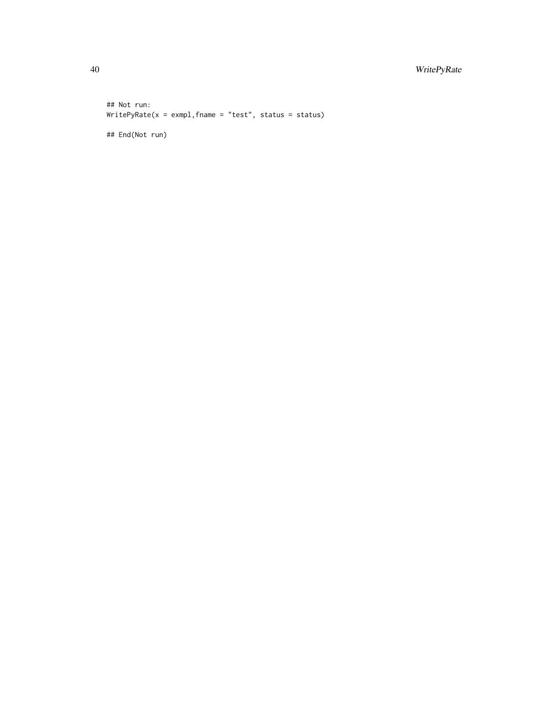### 40 WritePyRate

## Not run: WritePyRate(x = exmpl,fname = "test", status = status)

## End(Not run)